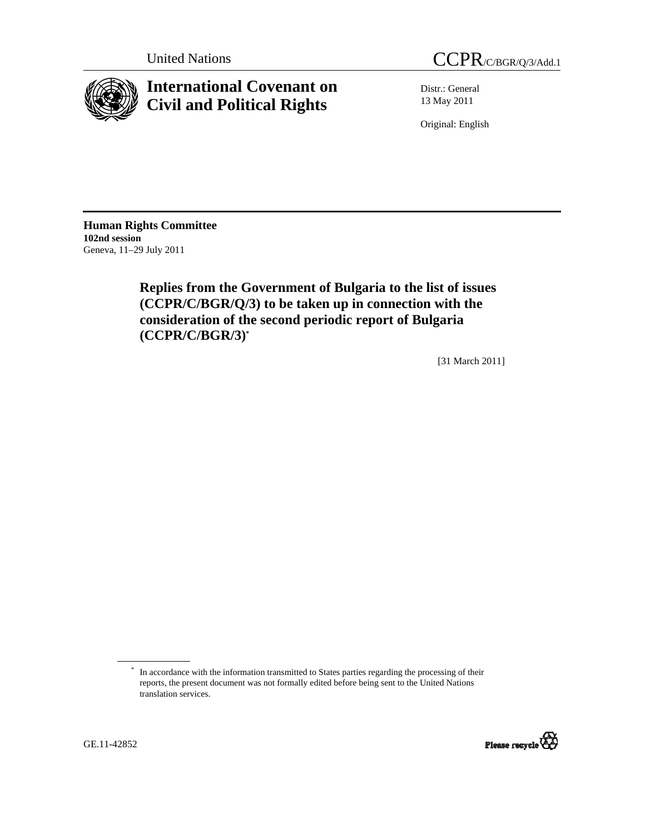

# **International Covenant on Civil and Political Rights**

Distr.: General 13 May 2011

Original: English

**Human Rights Committee 102nd session** Geneva, 11–29 July 2011

> **Replies from the Government of Bulgaria to the list of issues (CCPR/C/BGR/Q/3) to be taken up in connection with the consideration of the second periodic report of Bulgaria (CCPR/C/BGR/3)\***

> > [31 March 2011]

<sup>\*</sup> In accordance with the information transmitted to States parties regarding the processing of their reports, the present document was not formally edited before being sent to the United Nations translation services.

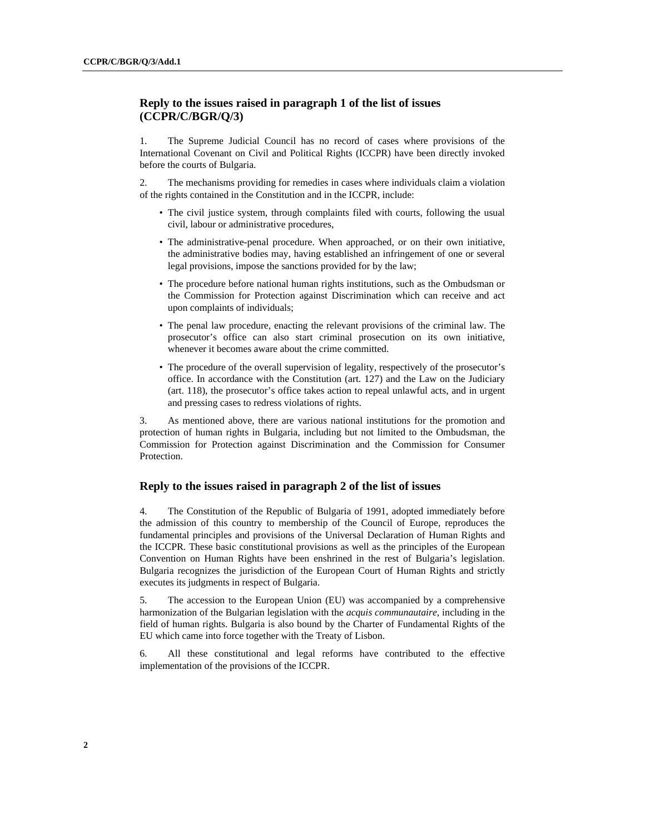# **Reply to the issues raised in paragraph 1 of the list of issues (CCPR/C/BGR/Q/3)**

1. The Supreme Judicial Council has no record of cases where provisions of the International Covenant on Civil and Political Rights (ICCPR) have been directly invoked before the courts of Bulgaria.

2. The mechanisms providing for remedies in cases where individuals claim a violation of the rights contained in the Constitution and in the ICCPR*,* include:

- The civil justice system, through complaints filed with courts, following the usual civil, labour or administrative procedures,
- The administrative-penal procedure. When approached, or on their own initiative, the administrative bodies may, having established an infringement of one or several legal provisions, impose the sanctions provided for by the law;
- The procedure before national human rights institutions, such as the Ombudsman or the Commission for Protection against Discrimination which can receive and act upon complaints of individuals;
- The penal law procedure*,* enacting the relevant provisions of the criminal law. The prosecutor's office can also start criminal prosecution on its own initiative, whenever it becomes aware about the crime committed.
- The procedure of the overall supervision of legality, respectively of the prosecutor's office. In accordance with the Constitution (art. 127) and the Law on the Judiciary (art. 118), the prosecutor's office takes action to repeal unlawful acts, and in urgent and pressing cases to redress violations of rights.

3. As mentioned above, there are various national institutions for the promotion and protection of human rights in Bulgaria, including but not limited to the Ombudsman, the Commission for Protection against Discrimination and the Commission for Consumer Protection.

# **Reply to the issues raised in paragraph 2 of the list of issues**

4. The Constitution of the Republic of Bulgaria of 1991, adopted immediately before the admission of this country to membership of the Council of Europe, reproduces the fundamental principles and provisions of the Universal Declaration of Human Rights and the ICCPR*.* These basic constitutional provisions as well as the principles of the European Convention on Human Rights have been enshrined in the rest of Bulgaria's legislation. Bulgaria recognizes the jurisdiction of the European Court of Human Rights and strictly executes its judgments in respect of Bulgaria.

5. The accession to the European Union (EU) was accompanied by a comprehensive harmonization of the Bulgarian legislation with the *acquis communautaire*, including in the field of human rights. Bulgaria is also bound by the Charter of Fundamental Rights of the EU which came into force together with the Treaty of Lisbon.

6. All these constitutional and legal reforms have contributed to the effective implementation of the provisions of the ICCPR.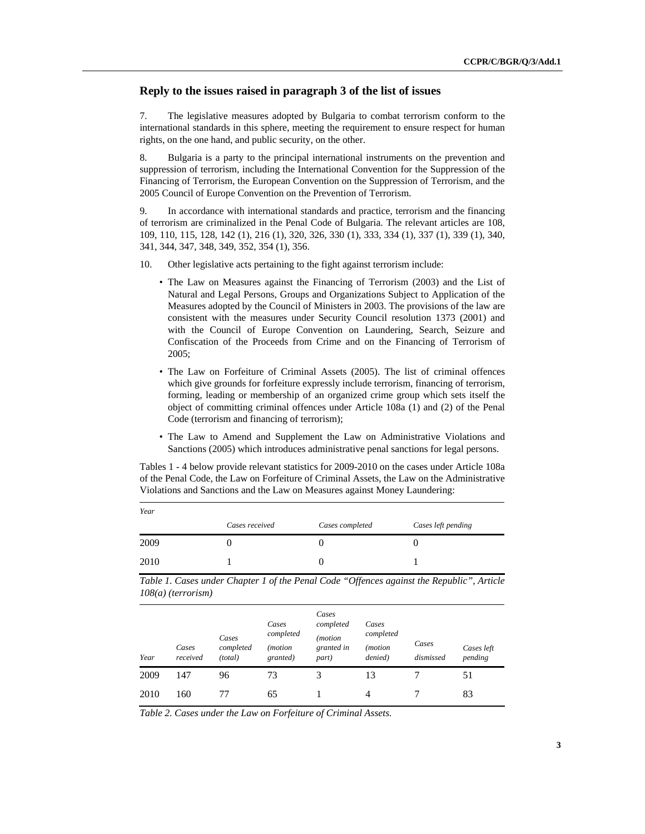#### **Reply to the issues raised in paragraph 3 of the list of issues**

7. The legislative measures adopted by Bulgaria to combat terrorism conform to the international standards in this sphere, meeting the requirement to ensure respect for human rights, on the one hand, and public security, on the other.

8. Bulgaria is a party to the principal international instruments on the prevention and suppression of terrorism, including the International Convention for the Suppression of the Financing of Terrorism, the European Convention on the Suppression of Terrorism, and the 2005 Council of Europe Convention on the Prevention of Terrorism*.* 

9. In accordance with international standards and practice, terrorism and the financing of terrorism are criminalized in the Penal Code of Bulgaria. The relevant articles are 108, 109, 110, 115, 128, 142 (1), 216 (1), 320, 326, 330 (1), 333, 334 (1), 337 (1), 339 (1), 340, 341, 344, 347, 348, 349, 352, 354 (1), 356.

10. Other legislative acts pertaining to the fight against terrorism include:

- The Law on Measures against the Financing of Terrorism (2003) and the List of Natural and Legal Persons, Groups and Organizations Subject to Application of the Measures adopted by the Council of Ministers in 2003. The provisions of the law are consistent with the measures under Security Council resolution 1373 (2001) and with the Council of Europe Convention on Laundering, Search, Seizure and Confiscation of the Proceeds from Crime and on the Financing of Terrorism of 2005;
- The Law on Forfeiture of Criminal Assets (2005). The list of criminal offences which give grounds for forfeiture expressly include terrorism, financing of terrorism, forming, leading or membership of an organized crime group which sets itself the object of committing criminal offences under Article 108a (1) and (2) of the Penal Code (terrorism and financing of terrorism);
- The Law to Amend and Supplement the Law on Administrative Violations and Sanctions (2005) which introduces administrative penal sanctions for legal persons.

Tables 1 - 4 below provide relevant statistics for 2009-2010 on the cases under Article 108a of the Penal Code, the Law on Forfeiture of Criminal Assets, the Law on the Administrative Violations and Sanctions and the Law on Measures against Money Laundering:

| Year |                |                 |                    |
|------|----------------|-----------------|--------------------|
|      | Cases received | Cases completed | Cases left pending |
| 2009 |                |                 |                    |
| 2010 |                |                 |                    |

*Table 1. Cases under Chapter 1 of the Penal Code "Offences against the Republic", Article 108(a) (terrorism)* 

| Year | Cases<br>received | Cases<br>completed<br>(total) | Cases<br>completed<br><i>(motion)</i><br>granted) | Cases<br>completed<br>(motion<br>granted in<br>part) | Cases<br>completed<br>( <i>motion</i><br>denied) | Cases<br>dismissed | Cases left<br>pending |
|------|-------------------|-------------------------------|---------------------------------------------------|------------------------------------------------------|--------------------------------------------------|--------------------|-----------------------|
| 2009 | 147               | 96                            | 73                                                | 3                                                    | 13                                               |                    | 51                    |
| 2010 | 160               | 77                            | 65                                                |                                                      | $\overline{4}$                                   |                    | 83                    |

*Table 2. Cases under the Law on Forfeiture of Criminal Assets.*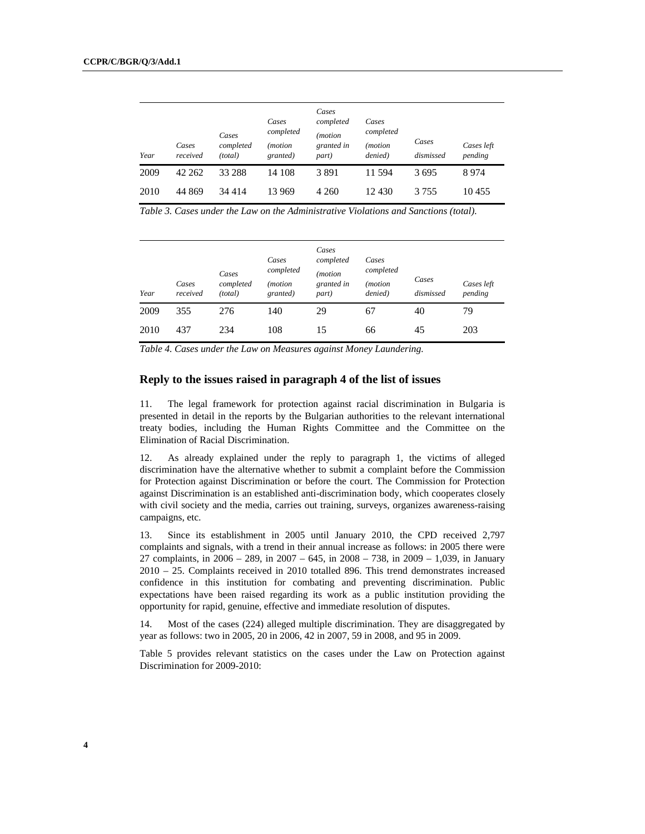| Year | Cases<br>received | Cases<br>completed<br>(total) | Cases<br>completed<br>( <i>motion</i><br>granted) | Cases<br>completed<br>(motion<br>granted in<br>part) | Cases<br>completed<br><i>(motion</i> )<br>denied) | Cases<br>dismissed | Cases left<br>pending |
|------|-------------------|-------------------------------|---------------------------------------------------|------------------------------------------------------|---------------------------------------------------|--------------------|-----------------------|
| 2009 | 42 262            | 33 288                        | 14 108                                            | 3891                                                 | 11.594                                            | 3695               | 8974                  |
| 2010 | 44 869            | 34 4 14                       | 13 969                                            | 4 2 6 0                                              | 12 430                                            | 3 7 5 5            | 10455                 |

*Table 3. Cases under the Law on the Administrative Violations and Sanctions (total).* 

| Year | Cases<br>received | Cases<br>completed<br>(total) | Cases<br>completed<br><i>(motion</i> )<br>granted) | Cases<br>completed<br>( <i>motion</i><br>granted in<br>part) | Cases<br>completed<br><i>(motion)</i><br>denied) | Cases<br>dismissed | Cases left<br>pending |
|------|-------------------|-------------------------------|----------------------------------------------------|--------------------------------------------------------------|--------------------------------------------------|--------------------|-----------------------|
| 2009 | 355               | 276                           | 140                                                | 29                                                           | 67                                               | 40                 | 79                    |
| 2010 | 437               | 234                           | 108                                                | 15                                                           | 66                                               | 45                 | 203                   |

*Table 4. Cases under the Law on Measures against Money Laundering.* 

# **Reply to the issues raised in paragraph 4 of the list of issues**

11. The legal framework for protection against racial discrimination in Bulgaria is presented in detail in the reports by the Bulgarian authorities to the relevant international treaty bodies, including the Human Rights Committee and the Committee on the Elimination of Racial Discrimination.

12. As already explained under the reply to paragraph 1, the victims of alleged discrimination have the alternative whether to submit a complaint before the Commission for Protection against Discrimination or before the court. The Commission for Protection against Discrimination is an established anti-discrimination body, which cooperates closely with civil society and the media, carries out training, surveys, organizes awareness-raising campaigns, etc.

13. Since its establishment in 2005 until January 2010, the CPD received 2,797 complaints and signals, with a trend in their annual increase as follows: in 2005 there were 27 complaints, in 2006 – 289, in 2007 – 645, in 2008 – 738, in 2009 – 1,039, in January 2010 – 25. Complaints received in 2010 totalled 896. This trend demonstrates increased confidence in this institution for combating and preventing discrimination. Public expectations have been raised regarding its work as a public institution providing the opportunity for rapid, genuine, effective and immediate resolution of disputes.

14. Most of the cases (224) alleged multiple discrimination. They are disaggregated by year as follows: two in 2005, 20 in 2006, 42 in 2007, 59 in 2008, and 95 in 2009.

Table 5 provides relevant statistics on the cases under the Law on Protection against Discrimination for 2009-2010: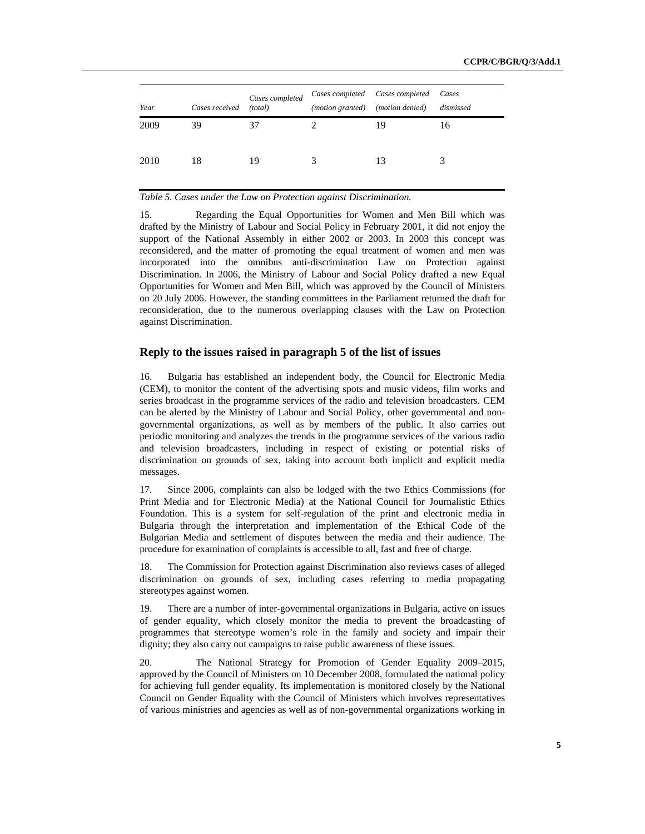| Year | Cases received | Cases completed<br>(total) | ( <i>motion granted</i> ) | Cases completed Cases completed<br>(motion denied) | Cases<br>dismissed |
|------|----------------|----------------------------|---------------------------|----------------------------------------------------|--------------------|
| 2009 | 39             | 37                         |                           | 19                                                 | 16                 |
|      |                |                            |                           |                                                    |                    |
| 2010 | 18             | 19                         | 3                         | 13                                                 | 3                  |
|      |                |                            |                           |                                                    |                    |

#### *Table 5. Cases under the Law on Protection against Discrimination.*

15. Regarding the Equal Opportunities for Women and Men Bill which was drafted by the Ministry of Labour and Social Policy in February 2001, it did not enjoy the support of the National Assembly in either 2002 or 2003. In 2003 this concept was reconsidered, and the matter of promoting the equal treatment of women and men was incorporated into the omnibus anti-discrimination Law on Protection against Discrimination. In 2006, the Ministry of Labour and Social Policy drafted a new Equal Opportunities for Women and Men Bill, which was approved by the Council of Ministers on 20 July 2006. However, the standing committees in the Parliament returned the draft for reconsideration, due to the numerous overlapping clauses with the Law on Protection against Discrimination.

# **Reply to the issues raised in paragraph 5 of the list of issues**

16. Bulgaria has established an independent body, the Council for Electronic Media (CEM)*,* to monitor the content of the advertising spots and music videos, film works and series broadcast in the programme services of the radio and television broadcasters. CEM can be alerted by the Ministry of Labour and Social Policy, other governmental and nongovernmental organizations, as well as by members of the public. It also carries out periodic monitoring and analyzes the trends in the programme services of the various radio and television broadcasters, including in respect of existing or potential risks of discrimination on grounds of sex, taking into account both implicit and explicit media messages.

17. Since 2006, complaints can also be lodged with the two Ethics Commissions (for Print Media and for Electronic Media) at the National Council for Journalistic Ethics Foundation. This is a system for self-regulation of the print and electronic media in Bulgaria through the interpretation and implementation of the Ethical Code of the Bulgarian Media and settlement of disputes between the media and their audience. The procedure for examination of complaints is accessible to all, fast and free of charge.

18. The Commission for Protection against Discrimination also reviews cases of alleged discrimination on grounds of sex, including cases referring to media propagating stereotypes against women.

19. There are a number of inter-governmental organizations in Bulgaria, active on issues of gender equality, which closely monitor the media to prevent the broadcasting of programmes that stereotype women's role in the family and society and impair their dignity; they also carry out campaigns to raise public awareness of these issues.

20. The National Strategy for Promotion of Gender Equality 2009–2015*,*  approved by the Council of Ministers on 10 December 2008, formulated the national policy for achieving full gender equality. Its implementation is monitored closely by the National Council on Gender Equality with the Council of Ministers which involves representatives of various ministries and agencies as well as of non-governmental organizations working in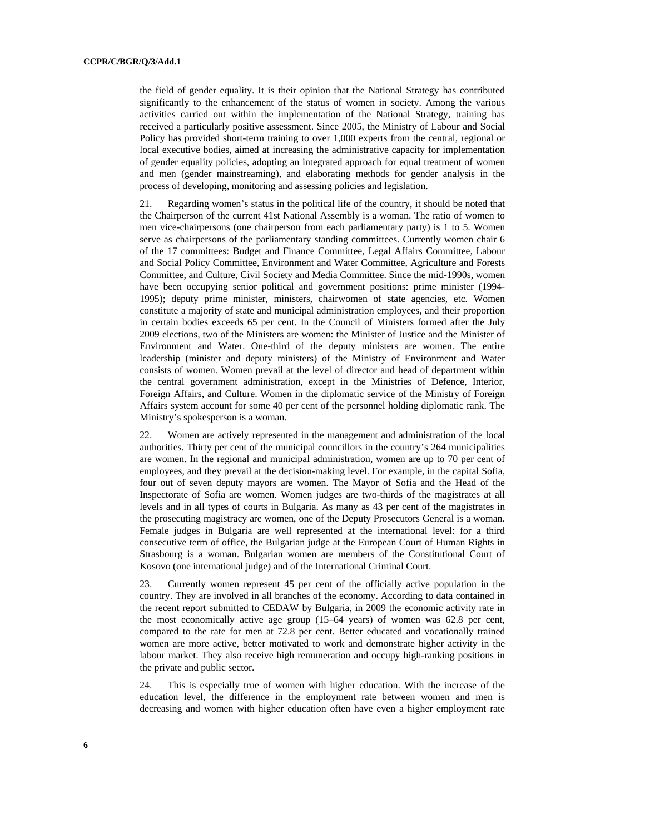the field of gender equality. It is their opinion that the National Strategy has contributed significantly to the enhancement of the status of women in society. Among the various activities carried out within the implementation of the National Strategy, training has received a particularly positive assessment. Since 2005, the Ministry of Labour and Social Policy has provided short-term training to over 1,000 experts from the central, regional or local executive bodies, aimed at increasing the administrative capacity for implementation of gender equality policies, adopting an integrated approach for equal treatment of women and men (gender mainstreaming), and elaborating methods for gender analysis in the process of developing, monitoring and assessing policies and legislation.

21. Regarding women's status in the political life of the country, it should be noted that the Chairperson of the current 41st National Assembly is a woman. The ratio of women to men vice-chairpersons (one chairperson from each parliamentary party) is 1 to 5. Women serve as chairpersons of the parliamentary standing committees. Currently women chair 6 of the 17 committees: Budget and Finance Committee, Legal Affairs Committee, Labour and Social Policy Committee, Environment and Water Committee, Agriculture and Forests Committee, and Culture, Civil Society and Media Committee. Since the mid-1990s, women have been occupying senior political and government positions: prime minister (1994- 1995); deputy prime minister, ministers, chairwomen of state agencies, etc. Women constitute a majority of state and municipal administration employees, and their proportion in certain bodies exceeds 65 per cent. In the Council of Ministers formed after the July 2009 elections, two of the Ministers are women: the Minister of Justice and the Minister of Environment and Water. One-third of the deputy ministers are women. The entire leadership (minister and deputy ministers) of the Ministry of Environment and Water consists of women. Women prevail at the level of director and head of department within the central government administration, except in the Ministries of Defence, Interior, Foreign Affairs, and Culture. Women in the diplomatic service of the Ministry of Foreign Affairs system account for some 40 per cent of the personnel holding diplomatic rank. The Ministry's spokesperson is a woman.

22. Women are actively represented in the management and administration of the local authorities. Thirty per cent of the municipal councillors in the country's 264 municipalities are women. In the regional and municipal administration, women are up to 70 per cent of employees, and they prevail at the decision-making level. For example, in the capital Sofia, four out of seven deputy mayors are women. The Mayor of Sofia and the Head of the Inspectorate of Sofia are women. Women judges are two-thirds of the magistrates at all levels and in all types of courts in Bulgaria. As many as 43 per cent of the magistrates in the prosecuting magistracy are women, one of the Deputy Prosecutors General is a woman. Female judges in Bulgaria are well represented at the international level: for a third consecutive term of office, the Bulgarian judge at the European Court of Human Rights in Strasbourg is a woman. Bulgarian women are members of the Constitutional Court of Kosovo (one international judge) and of the International Criminal Court.

23. Currently women represent 45 per cent of the officially active population in the country. They are involved in all branches of the economy. According to data contained in the recent report submitted to CEDAW by Bulgaria, in 2009 the economic activity rate in the most economically active age group (15–64 years) of women was 62.8 per cent, compared to the rate for men at 72.8 per cent. Better educated and vocationally trained women are more active, better motivated to work and demonstrate higher activity in the labour market. They also receive high remuneration and occupy high-ranking positions in the private and public sector.

24. This is especially true of women with higher education. With the increase of the education level, the difference in the employment rate between women and men is decreasing and women with higher education often have even a higher employment rate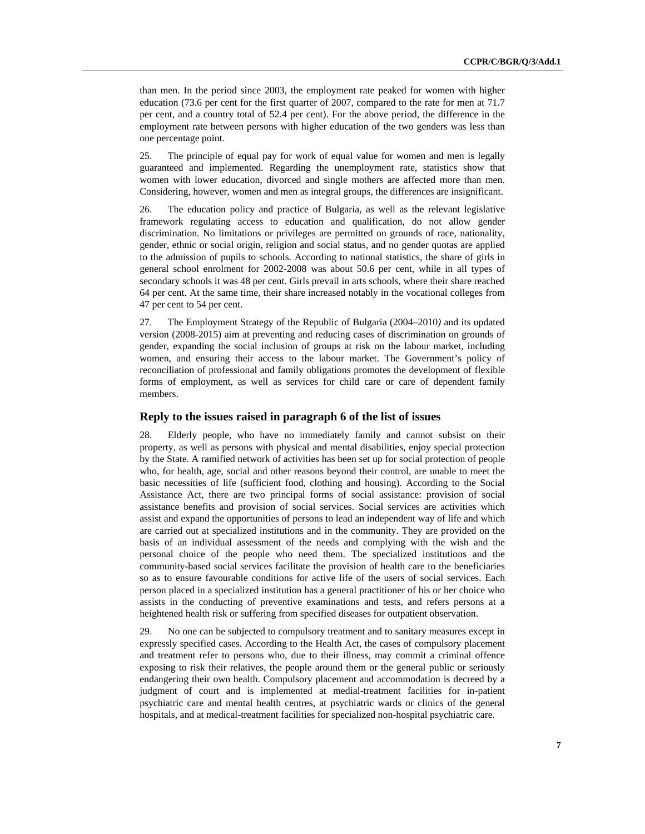than men. In the period since 2003, the employment rate peaked for women with higher education (73.6 per cent for the first quarter of 2007, compared to the rate for men at 71.7 per cent, and a country total of 52.4 per cent). For the above period, the difference in the employment rate between persons with higher education of the two genders was less than one percentage point.

25. The principle of equal pay for work of equal value for women and men is legally guaranteed and implemented. Regarding the unemployment rate, statistics show that women with lower education, divorced and single mothers are affected more than men. Considering, however, women and men as integral groups, the differences are insignificant.

26. The education policy and practice of Bulgaria, as well as the relevant legislative framework regulating access to education and qualification, do not allow gender discrimination. No limitations or privileges are permitted on grounds of race, nationality, gender, ethnic or social origin, religion and social status, and no gender quotas are applied to the admission of pupils to schools. According to national statistics, the share of girls in general school enrolment for 2002-2008 was about 50.6 per cent, while in all types of secondary schools it was 48 per cent. Girls prevail in arts schools, where their share reached 64 per cent. At the same time, their share increased notably in the vocational colleges from 47 per cent to 54 per cent.

27. The Employment Strategy of the Republic of Bulgaria (2004–2010*)* and its updated version (2008-2015) aim at preventing and reducing cases of discrimination on grounds of gender, expanding the social inclusion of groups at risk on the labour market, including women, and ensuring their access to the labour market. The Government's policy of reconciliation of professional and family obligations promotes the development of flexible forms of employment, as well as services for child care or care of dependent family members.

# **Reply to the issues raised in paragraph 6 of the list of issues**

28. Elderly people, who have no immediately family and cannot subsist on their property, as well as persons with physical and mental disabilities, enjoy special protection by the State. A ramified network of activities has been set up for social protection of people who, for health, age, social and other reasons beyond their control, are unable to meet the basic necessities of life (sufficient food, clothing and housing). According to the Social Assistance Act, there are two principal forms of social assistance: provision of social assistance benefits and provision of social services. Social services are activities which assist and expand the opportunities of persons to lead an independent way of life and which are carried out at specialized institutions and in the community. They are provided on the basis of an individual assessment of the needs and complying with the wish and the personal choice of the people who need them. The specialized institutions and the community-based social services facilitate the provision of health care to the beneficiaries so as to ensure favourable conditions for active life of the users of social services. Each person placed in a specialized institution has a general practitioner of his or her choice who assists in the conducting of preventive examinations and tests, and refers persons at a heightened health risk or suffering from specified diseases for outpatient observation.

29. No one can be subjected to compulsory treatment and to sanitary measures except in expressly specified cases. According to the Health Act, the cases of compulsory placement and treatment refer to persons who, due to their illness, may commit a criminal offence exposing to risk their relatives, the people around them or the general public or seriously endangering their own health. Compulsory placement and accommodation is decreed by a judgment of court and is implemented at medial-treatment facilities for in-patient psychiatric care and mental health centres, at psychiatric wards or clinics of the general hospitals, and at medical-treatment facilities for specialized non-hospital psychiatric care.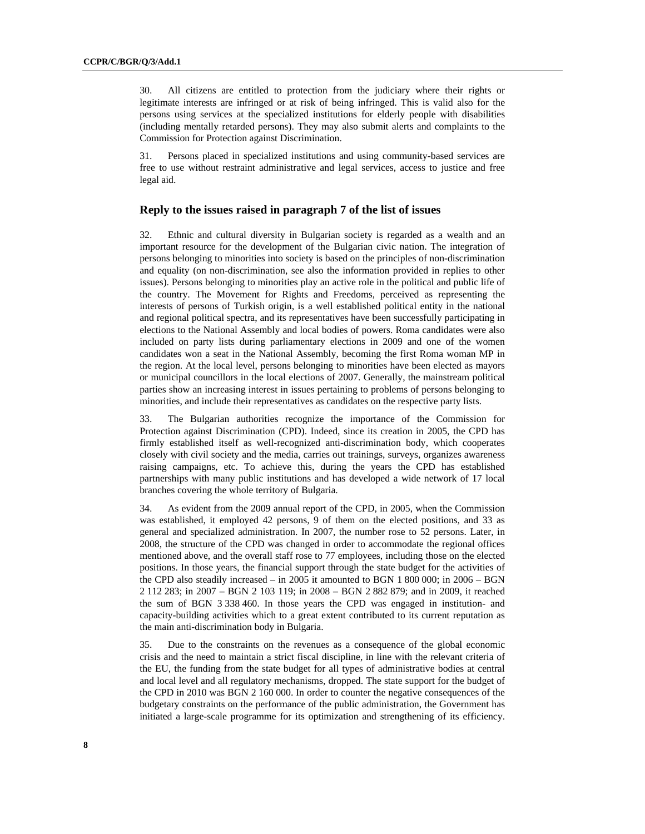30. All citizens are entitled to protection from the judiciary where their rights or legitimate interests are infringed or at risk of being infringed. This is valid also for the persons using services at the specialized institutions for elderly people with disabilities (including mentally retarded persons). They may also submit alerts and complaints to the Commission for Protection against Discrimination.

31. Persons placed in specialized institutions and using community-based services are free to use without restraint administrative and legal services, access to justice and free legal aid.

#### **Reply to the issues raised in paragraph 7 of the list of issues**

32. Ethnic and cultural diversity in Bulgarian society is regarded as a wealth and an important resource for the development of the Bulgarian civic nation. The integration of persons belonging to minorities into society is based on the principles of non-discrimination and equality (on non-discrimination, see also the information provided in replies to other issues). Persons belonging to minorities play an active role in the political and public life of the country. The Movement for Rights and Freedoms, perceived as representing the interests of persons of Turkish origin, is a well established political entity in the national and regional political spectra, and its representatives have been successfully participating in elections to the National Assembly and local bodies of powers. Roma candidates were also included on party lists during parliamentary elections in 2009 and one of the women candidates won a seat in the National Assembly, becoming the first Roma woman MP in the region. At the local level, persons belonging to minorities have been elected as mayors or municipal councillors in the local elections of 2007. Generally, the mainstream political parties show an increasing interest in issues pertaining to problems of persons belonging to minorities, and include their representatives as candidates on the respective party lists.

33. The Bulgarian authorities recognize the importance of the Commission for Protection against Discrimination (CPD). Indeed, since its creation in 2005, the CPD has firmly established itself as well-recognized anti-discrimination body, which cooperates closely with civil society and the media, carries out trainings, surveys, organizes awareness raising campaigns, etc. To achieve this, during the years the CPD has established partnerships with many public institutions and has developed a wide network of 17 local branches covering the whole territory of Bulgaria.

34. As evident from the 2009 annual report of the CPD, in 2005, when the Commission was established, it employed 42 persons, 9 of them on the elected positions, and 33 as general and specialized administration. In 2007, the number rose to 52 persons. Later, in 2008, the structure of the CPD was changed in order to accommodate the regional offices mentioned above, and the overall staff rose to 77 employees, including those on the elected positions. In those years, the financial support through the state budget for the activities of the CPD also steadily increased – in 2005 it amounted to BGN 1 800 000; in 2006 – BGN 2 112 283; in 2007 – BGN 2 103 119; in 2008 – BGN 2 882 879; and in 2009, it reached the sum of BGN 3 338 460. In those years the CPD was engaged in institution- and capacity-building activities which to a great extent contributed to its current reputation as the main anti-discrimination body in Bulgaria.

35. Due to the constraints on the revenues as a consequence of the global economic crisis and the need to maintain a strict fiscal discipline, in line with the relevant criteria of the EU, the funding from the state budget for all types of administrative bodies at central and local level and all regulatory mechanisms, dropped. The state support for the budget of the CPD in 2010 was BGN 2 160 000. In order to counter the negative consequences of the budgetary constraints on the performance of the public administration, the Government has initiated a large-scale programme for its optimization and strengthening of its efficiency.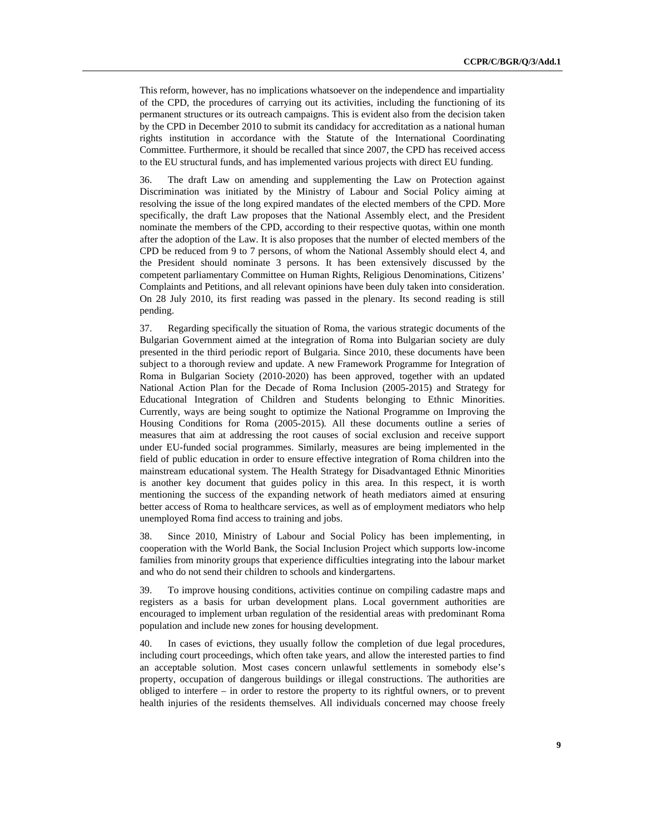This reform, however, has no implications whatsoever on the independence and impartiality of the CPD, the procedures of carrying out its activities, including the functioning of its permanent structures or its outreach campaigns. This is evident also from the decision taken by the CPD in December 2010 to submit its candidacy for accreditation as a national human rights institution in accordance with the Statute of the International Coordinating Committee. Furthermore, it should be recalled that since 2007, the CPD has received access to the EU structural funds, and has implemented various projects with direct EU funding.

36. The draft Law on amending and supplementing the Law on Protection against Discrimination was initiated by the Ministry of Labour and Social Policy aiming at resolving the issue of the long expired mandates of the elected members of the CPD. More specifically, the draft Law proposes that the National Assembly elect, and the President nominate the members of the CPD, according to their respective quotas, within one month after the adoption of the Law. It is also proposes that the number of elected members of the CPD be reduced from 9 to 7 persons, of whom the National Assembly should elect 4, and the President should nominate 3 persons. It has been extensively discussed by the competent parliamentary Committee on Human Rights, Religious Denominations, Citizens' Complaints and Petitions, and all relevant opinions have been duly taken into consideration. On 28 July 2010, its first reading was passed in the plenary. Its second reading is still pending.

37. Regarding specifically the situation of Roma, the various strategic documents of the Bulgarian Government aimed at the integration of Roma into Bulgarian society are duly presented in the third periodic report of Bulgaria. Since 2010, these documents have been subject to a thorough review and update. A new Framework Programme for Integration of Roma in Bulgarian Society (2010-2020) has been approved, together with an updated National Action Plan for the Decade of Roma Inclusion (2005-2015) and Strategy for Educational Integration of Children and Students belonging to Ethnic Minorities. Currently, ways are being sought to optimize the National Programme on Improving the Housing Conditions for Roma (2005-2015)*.* All these documents outline a series of measures that aim at addressing the root causes of social exclusion and receive support under EU-funded social programmes. Similarly, measures are being implemented in the field of public education in order to ensure effective integration of Roma children into the mainstream educational system. The Health Strategy for Disadvantaged Ethnic Minorities is another key document that guides policy in this area. In this respect, it is worth mentioning the success of the expanding network of heath mediators aimed at ensuring better access of Roma to healthcare services, as well as of employment mediators who help unemployed Roma find access to training and jobs.

38. Since 2010, Ministry of Labour and Social Policy has been implementing, in cooperation with the World Bank, the Social Inclusion Project which supports low-income families from minority groups that experience difficulties integrating into the labour market and who do not send their children to schools and kindergartens.

39. To improve housing conditions, activities continue on compiling cadastre maps and registers as a basis for urban development plans. Local government authorities are encouraged to implement urban regulation of the residential areas with predominant Roma population and include new zones for housing development.

40. In cases of evictions, they usually follow the completion of due legal procedures, including court proceedings, which often take years, and allow the interested parties to find an acceptable solution. Most cases concern unlawful settlements in somebody else's property, occupation of dangerous buildings or illegal constructions. The authorities are obliged to interfere – in order to restore the property to its rightful owners, or to prevent health injuries of the residents themselves. All individuals concerned may choose freely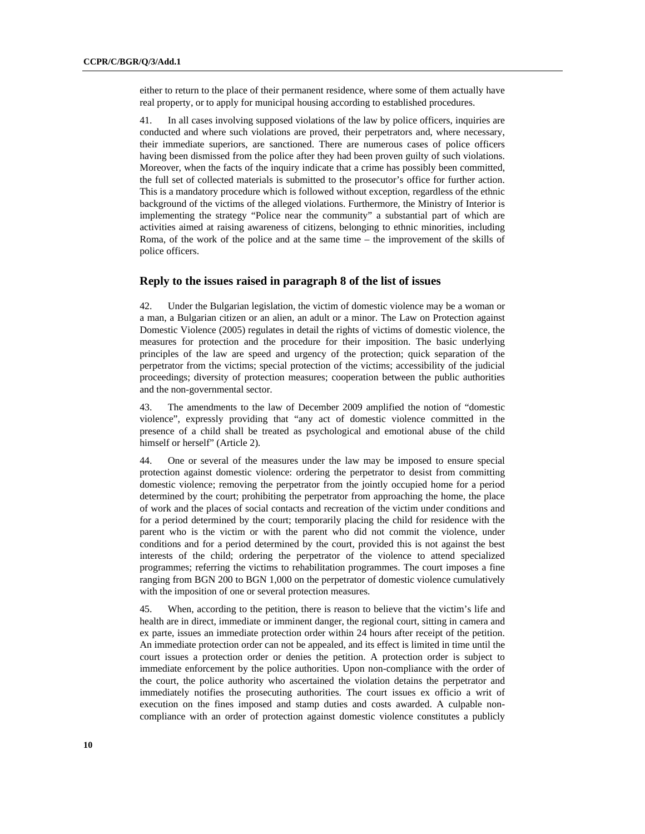either to return to the place of their permanent residence, where some of them actually have real property, or to apply for municipal housing according to established procedures.

41. In all cases involving supposed violations of the law by police officers, inquiries are conducted and where such violations are proved, their perpetrators and, where necessary, their immediate superiors, are sanctioned. There are numerous cases of police officers having been dismissed from the police after they had been proven guilty of such violations. Moreover, when the facts of the inquiry indicate that a crime has possibly been committed, the full set of collected materials is submitted to the prosecutor's office for further action. This is a mandatory procedure which is followed without exception, regardless of the ethnic background of the victims of the alleged violations. Furthermore, the Ministry of Interior is implementing the strategy "Police near the community" a substantial part of which are activities aimed at raising awareness of citizens, belonging to ethnic minorities, including Roma, of the work of the police and at the same time – the improvement of the skills of police officers.

#### **Reply to the issues raised in paragraph 8 of the list of issues**

42. Under the Bulgarian legislation, the victim of domestic violence may be a woman or a man, a Bulgarian citizen or an alien, an adult or a minor. The Law on Protection against Domestic Violence (2005) regulates in detail the rights of victims of domestic violence, the measures for protection and the procedure for their imposition. The basic underlying principles of the law are speed and urgency of the protection; quick separation of the perpetrator from the victims; special protection of the victims; accessibility of the judicial proceedings; diversity of protection measures; cooperation between the public authorities and the non-governmental sector.

43. The amendments to the law of December 2009 amplified the notion of "domestic violence", expressly providing that "any act of domestic violence committed in the presence of a child shall be treated as psychological and emotional abuse of the child himself or herself" (Article 2).

44. One or several of the measures under the law may be imposed to ensure special protection against domestic violence: ordering the perpetrator to desist from committing domestic violence; removing the perpetrator from the jointly occupied home for a period determined by the court; prohibiting the perpetrator from approaching the home, the place of work and the places of social contacts and recreation of the victim under conditions and for a period determined by the court; temporarily placing the child for residence with the parent who is the victim or with the parent who did not commit the violence, under conditions and for a period determined by the court, provided this is not against the best interests of the child; ordering the perpetrator of the violence to attend specialized programmes; referring the victims to rehabilitation programmes. The court imposes a fine ranging from BGN 200 to BGN 1,000 on the perpetrator of domestic violence cumulatively with the imposition of one or several protection measures.

45. When, according to the petition, there is reason to believe that the victim's life and health are in direct, immediate or imminent danger, the regional court, sitting in camera and ex parte, issues an immediate protection order within 24 hours after receipt of the petition. An immediate protection order can not be appealed, and its effect is limited in time until the court issues a protection order or denies the petition. A protection order is subject to immediate enforcement by the police authorities. Upon non-compliance with the order of the court, the police authority who ascertained the violation detains the perpetrator and immediately notifies the prosecuting authorities. The court issues ex officio a writ of execution on the fines imposed and stamp duties and costs awarded. A culpable noncompliance with an order of protection against domestic violence constitutes a publicly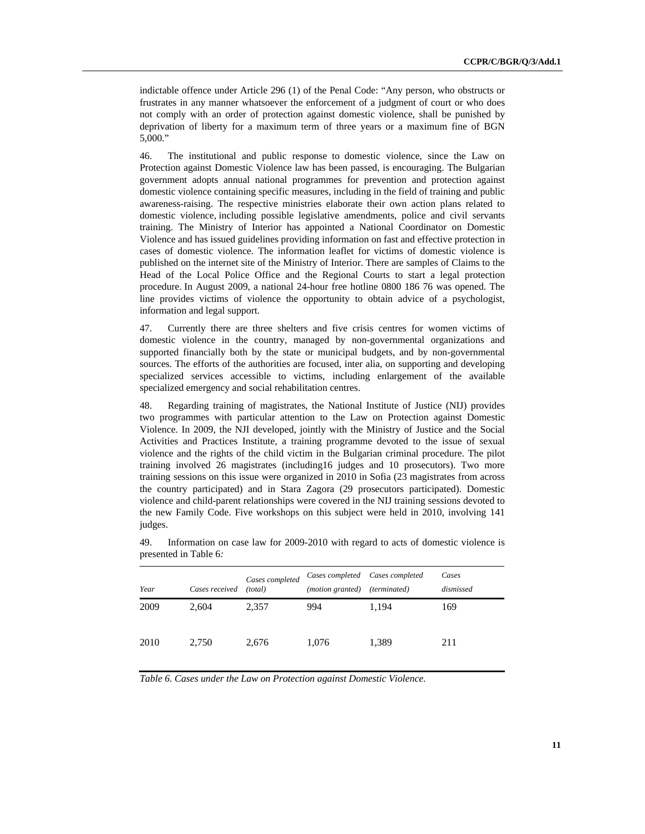indictable offence under Article 296 (1) of the Penal Code: "Any person, who obstructs or frustrates in any manner whatsoever the enforcement of a judgment of court or who does not comply with an order of protection against domestic violence, shall be punished by deprivation of liberty for a maximum term of three years or a maximum fine of BGN 5,000."

46. The institutional and public response to domestic violence, since the Law on Protection against Domestic Violence law has been passed, is encouraging. The Bulgarian government adopts annual national programmes for prevention and protection against domestic violence containing specific measures, including in the field of training and public awareness-raising. The respective ministries elaborate their own action plans related to domestic violence, including possible legislative amendments, police and civil servants training. The Ministry of Interior has appointed a National Coordinator on Domestic Violence and has issued guidelines providing information on fast and effective protection in cases of domestic violence. The information leaflet for victims of domestic violence is published on the internet site of the Ministry of Interior. There are samples of Claims to the Head of the Local Police Office and the Regional Courts to start a legal protection procedure. In August 2009, a national 24-hour free hotline 0800 186 76 was opened. The line provides victims of violence the opportunity to obtain advice of a psychologist, information and legal support.

47. Currently there are three shelters and five crisis centres for women victims of domestic violence in the country, managed by non-governmental organizations and supported financially both by the state or municipal budgets, and by non-governmental sources. The efforts of the authorities are focused, inter alia, on supporting and developing specialized services accessible to victims, including enlargement of the available specialized emergency and social rehabilitation centres.

48. Regarding training of magistrates, the National Institute of Justice (NIJ) provides two programmes with particular attention to the Law on Protection against Domestic Violence*.* In 2009, the NJI developed, jointly with the Ministry of Justice and the Social Activities and Practices Institute, a training programme devoted to the issue of sexual violence and the rights of the child victim in the Bulgarian criminal procedure. The pilot training involved 26 magistrates (including16 judges and 10 prosecutors). Two more training sessions on this issue were organized in 2010 in Sofia (23 magistrates from across the country participated) and in Stara Zagora (29 prosecutors participated). Domestic violence and child-parent relationships were covered in the NIJ training sessions devoted to the new Family Code. Five workshops on this subject were held in 2010, involving 141 judges.

| Year | Cases received | Cases completed<br>(total) | Cases completed Cases completed<br>( <i>motion granted</i> ) | <i>(terminated)</i> | Cases<br>dismissed |
|------|----------------|----------------------------|--------------------------------------------------------------|---------------------|--------------------|
| 2009 | 2,604          | 2,357                      | 994                                                          | 1,194               | 169                |
| 2010 | 2,750          | 2,676                      | 1,076                                                        | 1,389               | 211                |

49. Information on case law for 2009-2010 with regard to acts of domestic violence is presented in Table 6*:*

*Table 6. Cases under the Law on Protection against Domestic Violence.*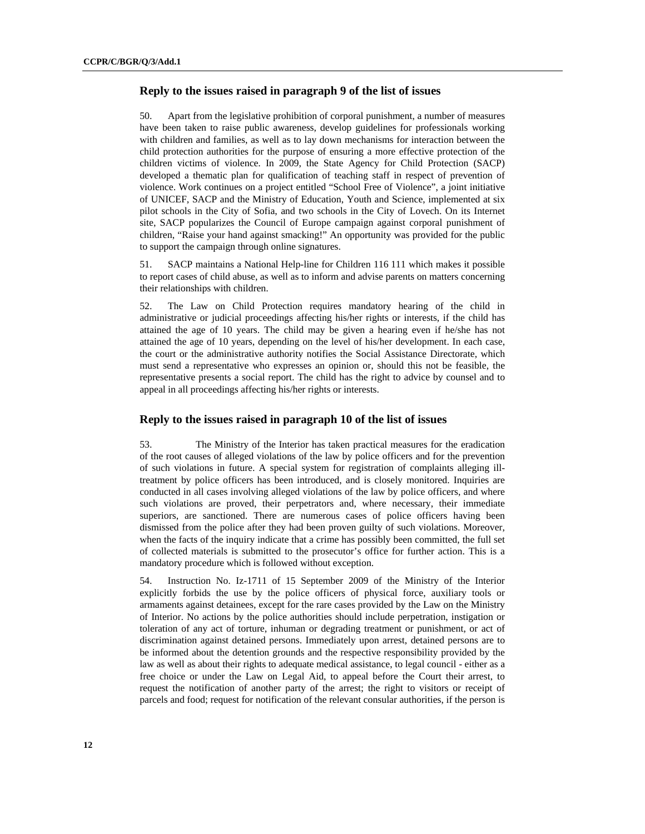# **Reply to the issues raised in paragraph 9 of the list of issues**

50. Apart from the legislative prohibition of corporal punishment, a number of measures have been taken to raise public awareness, develop guidelines for professionals working with children and families, as well as to lay down mechanisms for interaction between the child protection authorities for the purpose of ensuring a more effective protection of the children victims of violence. In 2009, the State Agency for Child Protection (SACP) developed a thematic plan for qualification of teaching staff in respect of prevention of violence. Work continues on a project entitled "School Free of Violence", a joint initiative of UNICEF, SACP and the Ministry of Education, Youth and Science, implemented at six pilot schools in the City of Sofia, and two schools in the City of Lovech. On its Internet site, SACP popularizes the Council of Europe campaign against corporal punishment of children, "Raise your hand against smacking!" An opportunity was provided for the public to support the campaign through online signatures.

51. SACP maintains a National Help-line for Children 116 111 which makes it possible to report cases of child abuse, as well as to inform and advise parents on matters concerning their relationships with children.

52. The Law on Child Protection requires mandatory hearing of the child in administrative or judicial proceedings affecting his/her rights or interests, if the child has attained the age of 10 years. The child may be given a hearing even if he/she has not attained the age of 10 years, depending on the level of his/her development. In each case, the court or the administrative authority notifies the Social Assistance Directorate, which must send a representative who expresses an opinion or, should this not be feasible, the representative presents a social report. The child has the right to advice by counsel and to appeal in all proceedings affecting his/her rights or interests.

#### **Reply to the issues raised in paragraph 10 of the list of issues**

53. The Ministry of the Interior has taken practical measures for the eradication of the root causes of alleged violations of the law by police officers and for the prevention of such violations in future. A special system for registration of complaints alleging illtreatment by police officers has been introduced, and is closely monitored. Inquiries are conducted in all cases involving alleged violations of the law by police officers, and where such violations are proved, their perpetrators and, where necessary, their immediate superiors, are sanctioned. There are numerous cases of police officers having been dismissed from the police after they had been proven guilty of such violations. Moreover, when the facts of the inquiry indicate that a crime has possibly been committed, the full set of collected materials is submitted to the prosecutor's office for further action. This is a mandatory procedure which is followed without exception.

54. Instruction No. Iz-1711 of 15 September 2009 of the Ministry of the Interior explicitly forbids the use by the police officers of physical force, auxiliary tools or armaments against detainees, except for the rare cases provided by the Law on the Ministry of Interior. No actions by the police authorities should include perpetration, instigation or toleration of any act of torture, inhuman or degrading treatment or punishment, or act of discrimination against detained persons. Immediately upon arrest, detained persons are to be informed about the detention grounds and the respective responsibility provided by the law as well as about their rights to adequate medical assistance, to legal council - either as a free choice or under the Law on Legal Aid, to appeal before the Court their arrest, to request the notification of another party of the arrest; the right to visitors or receipt of parcels and food; request for notification of the relevant consular authorities, if the person is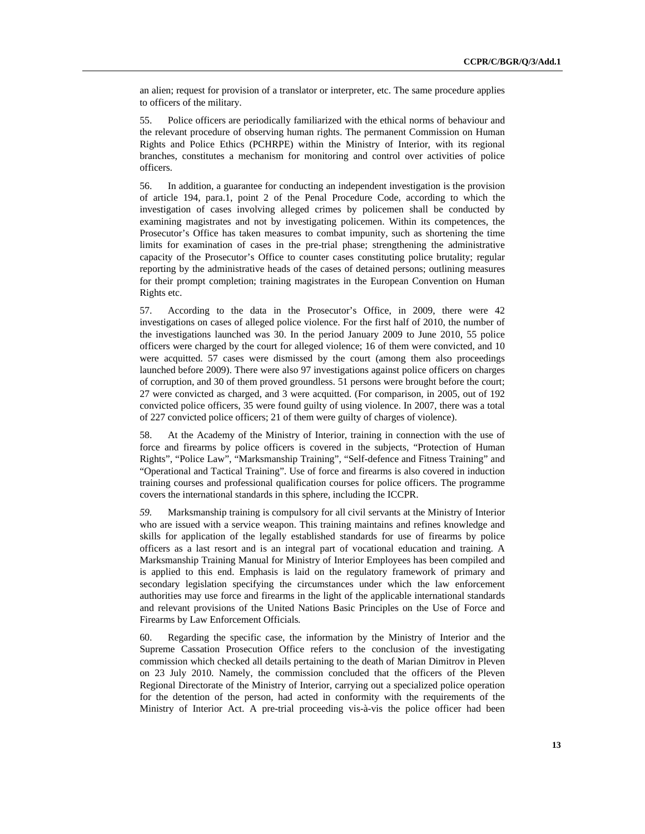an alien; request for provision of a translator or interpreter, etc. The same procedure applies to officers of the military.

55. Police officers are periodically familiarized with the ethical norms of behaviour and the relevant procedure of observing human rights. The permanent Commission on Human Rights and Police Ethics (PCHRPE) within the Ministry of Interior, with its regional branches, constitutes a mechanism for monitoring and control over activities of police officers.

56. In addition, a guarantee for conducting an independent investigation is the provision of article 194, para.1, point 2 of the Penal Procedure Code, according to which the investigation of cases involving alleged crimes by policemen shall be conducted by examining magistrates and not by investigating policemen. Within its competences, the Prosecutor's Office has taken measures to combat impunity, such as shortening the time limits for examination of cases in the pre-trial phase; strengthening the administrative capacity of the Prosecutor's Office to counter cases constituting police brutality; regular reporting by the administrative heads of the cases of detained persons; outlining measures for their prompt completion; training magistrates in the European Convention on Human Rights etc.

57. According to the data in the Prosecutor's Office, in 2009, there were 42 investigations on cases of alleged police violence. For the first half of 2010, the number of the investigations launched was 30. In the period January 2009 to June 2010, 55 police officers were charged by the court for alleged violence; 16 of them were convicted, and 10 were acquitted. 57 cases were dismissed by the court (among them also proceedings launched before 2009). There were also 97 investigations against police officers on charges of corruption, and 30 of them proved groundless. 51 persons were brought before the court; 27 were convicted as charged, and 3 were acquitted. (For comparison, in 2005, out of 192 convicted police officers, 35 were found guilty of using violence. In 2007, there was a total of 227 convicted police officers; 21 of them were guilty of charges of violence).

58. At the Academy of the Ministry of Interior, training in connection with the use of force and firearms by police officers is covered in the subjects, "Protection of Human Rights", "Police Law", "Marksmanship Training", "Self-defence and Fitness Training" and "Operational and Tactical Training". Use of force and firearms is also covered in induction training courses and professional qualification courses for police officers. The programme covers the international standards in this sphere, including the ICCPR.

*59.* Marksmanship training is compulsory for all civil servants at the Ministry of Interior who are issued with a service weapon. This training maintains and refines knowledge and skills for application of the legally established standards for use of firearms by police officers as a last resort and is an integral part of vocational education and training. A Marksmanship Training Manual for Ministry of Interior Employees has been compiled and is applied to this end. Emphasis is laid on the regulatory framework of primary and secondary legislation specifying the circumstances under which the law enforcement authorities may use force and firearms in the light of the applicable international standards and relevant provisions of the United Nations Basic Principles on the Use of Force and Firearms by Law Enforcement Officials*.* 

60. Regarding the specific case, the information by the Ministry of Interior and the Supreme Cassation Prosecution Office refers to the conclusion of the investigating commission which checked all details pertaining to the death of Marian Dimitrov in Pleven on 23 July 2010. Namely, the commission concluded that the officers of the Pleven Regional Directorate of the Ministry of Interior, carrying out a specialized police operation for the detention of the person, had acted in conformity with the requirements of the Ministry of Interior Act. A pre-trial proceeding vis-à-vis the police officer had been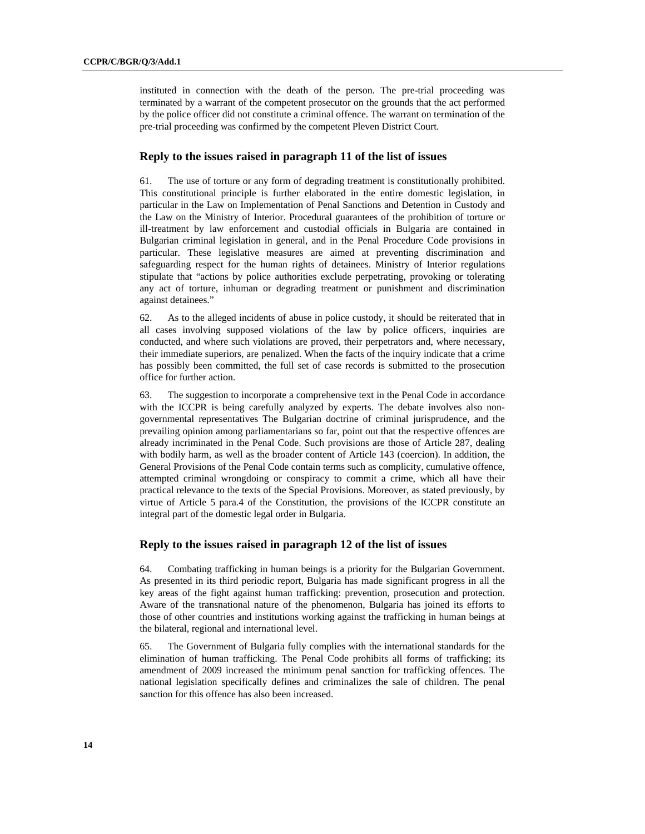instituted in connection with the death of the person. The pre-trial proceeding was terminated by a warrant of the competent prosecutor on the grounds that the act performed by the police officer did not constitute a criminal offence. The warrant on termination of the pre-trial proceeding was confirmed by the competent Pleven District Court.

#### **Reply to the issues raised in paragraph 11 of the list of issues**

61. The use of torture or any form of degrading treatment is constitutionally prohibited. This constitutional principle is further elaborated in the entire domestic legislation, in particular in the Law on Implementation of Penal Sanctions and Detention in Custody and the Law on the Ministry of Interior. Procedural guarantees of the prohibition of torture or ill-treatment by law enforcement and custodial officials in Bulgaria are contained in Bulgarian criminal legislation in general, and in the Penal Procedure Code provisions in particular. These legislative measures are aimed at preventing discrimination and safeguarding respect for the human rights of detainees. Ministry of Interior regulations stipulate that "actions by police authorities exclude perpetrating, provoking or tolerating any act of torture, inhuman or degrading treatment or punishment and discrimination against detainees."

62. As to the alleged incidents of abuse in police custody, it should be reiterated that in all cases involving supposed violations of the law by police officers, inquiries are conducted, and where such violations are proved, their perpetrators and, where necessary, their immediate superiors, are penalized. When the facts of the inquiry indicate that a crime has possibly been committed, the full set of case records is submitted to the prosecution office for further action.

63. The suggestion to incorporate a comprehensive text in the Penal Code in accordance with the ICCPR is being carefully analyzed by experts. The debate involves also nongovernmental representatives The Bulgarian doctrine of criminal jurisprudence, and the prevailing opinion among parliamentarians so far, point out that the respective offences are already incriminated in the Penal Code. Such provisions are those of Article 287, dealing with bodily harm, as well as the broader content of Article 143 (coercion). In addition, the General Provisions of the Penal Code contain terms such as complicity, cumulative offence, attempted criminal wrongdoing or conspiracy to commit a crime, which all have their practical relevance to the texts of the Special Provisions. Moreover, as stated previously, by virtue of Article 5 para.4 of the Constitution, the provisions of the ICCPR constitute an integral part of the domestic legal order in Bulgaria.

## **Reply to the issues raised in paragraph 12 of the list of issues**

64. Combating trafficking in human beings is a priority for the Bulgarian Government. As presented in its third periodic report, Bulgaria has made significant progress in all the key areas of the fight against human trafficking: prevention, prosecution and protection. Aware of the transnational nature of the phenomenon, Bulgaria has joined its efforts to those of other countries and institutions working against the trafficking in human beings at the bilateral, regional and international level.

65. The Government of Bulgaria fully complies with the international standards for the elimination of human trafficking. The Penal Code prohibits all forms of trafficking; its amendment of 2009 increased the minimum penal sanction for trafficking offences. The national legislation specifically defines and criminalizes the sale of children. The penal sanction for this offence has also been increased.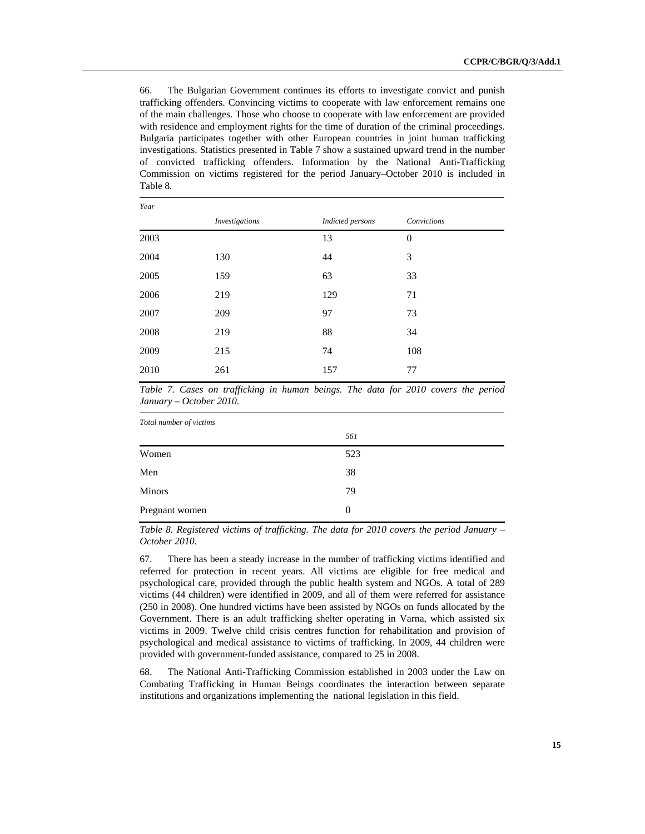66. The Bulgarian Government continues its efforts to investigate convict and punish trafficking offenders. Convincing victims to cooperate with law enforcement remains one of the main challenges. Those who choose to cooperate with law enforcement are provided with residence and employment rights for the time of duration of the criminal proceedings. Bulgaria participates together with other European countries in joint human trafficking investigations. Statistics presented in Table 7 show a sustained upward trend in the number of convicted trafficking offenders. Information by the National Anti-Trafficking Commission on victims registered for the period January–October 2010 is included in Table 8*.*

| Year |                       |                  |             |
|------|-----------------------|------------------|-------------|
|      | <i>Investigations</i> | Indicted persons | Convictions |
| 2003 |                       | 13               | $\theta$    |
| 2004 | 130                   | 44               | 3           |
| 2005 | 159                   | 63               | 33          |
| 2006 | 219                   | 129              | 71          |
| 2007 | 209                   | 97               | 73          |
| 2008 | 219                   | 88               | 34          |
| 2009 | 215                   | 74               | 108         |
| 2010 | 261                   | 157              | 77          |

*Table 7. Cases on trafficking in human beings. The data for 2010 covers the period January – October 2010.*

*Total number of victims* 

|                | 561      |
|----------------|----------|
| Women          | 523      |
| Men            | 38       |
| Minors         | 79       |
| Pregnant women | $\theta$ |
|                |          |

*Table 8. Registered victims of trafficking. The data for 2010 covers the period January – October 2010.*

67. There has been a steady increase in the number of trafficking victims identified and referred for protection in recent years. All victims are eligible for free medical and psychological care, provided through the public health system and NGOs. A total of 289 victims (44 children) were identified in 2009, and all of them were referred for assistance (250 in 2008). One hundred victims have been assisted by NGOs on funds allocated by the Government. There is an adult trafficking shelter operating in Varna, which assisted six victims in 2009. Twelve child crisis centres function for rehabilitation and provision of psychological and medical assistance to victims of trafficking. In 2009, 44 children were provided with government-funded assistance, compared to 25 in 2008.

68. The National Anti-Trafficking Commission established in 2003 under the Law on Combating Trafficking in Human Beings coordinates the interaction between separate institutions and organizations implementing the national legislation in this field.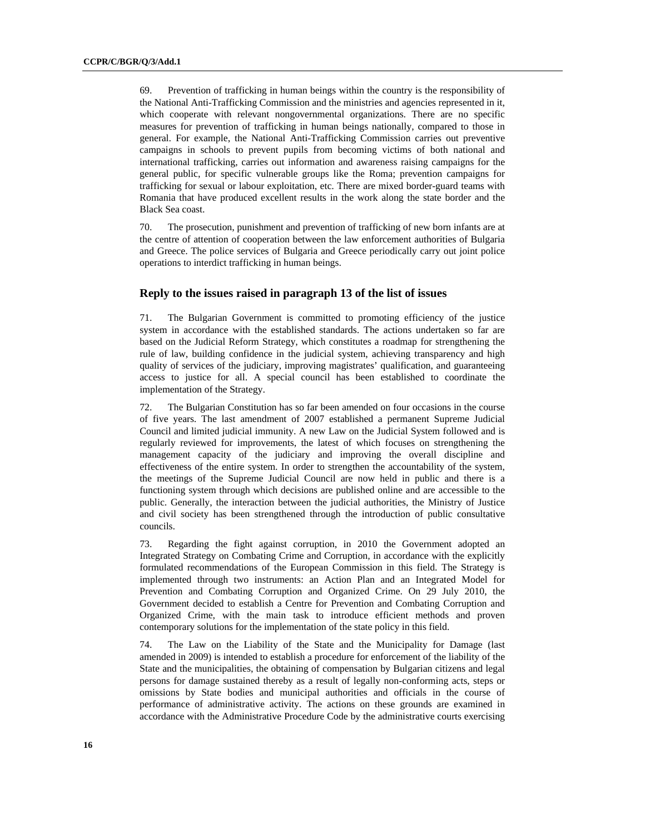69. Prevention of trafficking in human beings within the country is the responsibility of the National Anti-Trafficking Commission and the ministries and agencies represented in it, which cooperate with relevant nongovernmental organizations. There are no specific measures for prevention of trafficking in human beings nationally, compared to those in general. For example, the National Anti-Trafficking Commission carries out preventive campaigns in schools to prevent pupils from becoming victims of both national and international trafficking, carries out information and awareness raising campaigns for the general public, for specific vulnerable groups like the Roma; prevention campaigns for trafficking for sexual or labour exploitation, etc. There are mixed border-guard teams with Romania that have produced excellent results in the work along the state border and the Black Sea coast.

70. The prosecution, punishment and prevention of trafficking of new born infants are at the centre of attention of cooperation between the law enforcement authorities of Bulgaria and Greece. The police services of Bulgaria and Greece periodically carry out joint police operations to interdict trafficking in human beings.

# **Reply to the issues raised in paragraph 13 of the list of issues**

71. The Bulgarian Government is committed to promoting efficiency of the justice system in accordance with the established standards. The actions undertaken so far are based on the Judicial Reform Strategy, which constitutes a roadmap for strengthening the rule of law, building confidence in the judicial system, achieving transparency and high quality of services of the judiciary, improving magistrates' qualification, and guaranteeing access to justice for all. A special council has been established to coordinate the implementation of the Strategy.

72. The Bulgarian Constitution has so far been amended on four occasions in the course of five years. The last amendment of 2007 established a permanent Supreme Judicial Council and limited judicial immunity. A new Law on the Judicial System followed and is regularly reviewed for improvements, the latest of which focuses on strengthening the management capacity of the judiciary and improving the overall discipline and effectiveness of the entire system. In order to strengthen the accountability of the system, the meetings of the Supreme Judicial Council are now held in public and there is a functioning system through which decisions are published online and are accessible to the public. Generally, the interaction between the judicial authorities, the Ministry of Justice and civil society has been strengthened through the introduction of public consultative councils.

73. Regarding the fight against corruption, in 2010 the Government adopted an Integrated Strategy on Combating Crime and Corruption*,* in accordance with the explicitly formulated recommendations of the European Commission in this field. The Strategy is implemented through two instruments: an Action Plan and an Integrated Model for Prevention and Combating Corruption and Organized Crime. On 29 July 2010, the Government decided to establish a Centre for Prevention and Combating Corruption and Organized Crime, with the main task to introduce efficient methods and proven contemporary solutions for the implementation of the state policy in this field.

74. The Law on the Liability of the State and the Municipality for Damage (last amended in 2009) is intended to establish a procedure for enforcement of the liability of the State and the municipalities, the obtaining of compensation by Bulgarian citizens and legal persons for damage sustained thereby as a result of legally non-conforming acts, steps or omissions by State bodies and municipal authorities and officials in the course of performance of administrative activity. The actions on these grounds are examined in accordance with the Administrative Procedure Code by the administrative courts exercising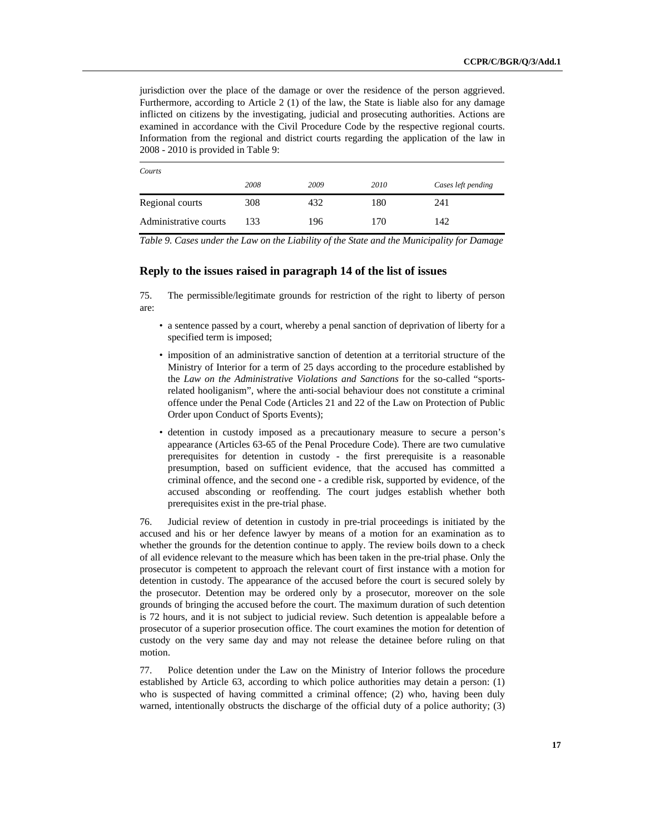jurisdiction over the place of the damage or over the residence of the person aggrieved. Furthermore, according to Article 2 (1) of the law, the State is liable also for any damage inflicted on citizens by the investigating, judicial and prosecuting authorities. Actions are examined in accordance with the Civil Procedure Code by the respective regional courts. Information from the regional and district courts regarding the application of the law in 2008 - 2010 is provided in Table 9:

| Courts                |      |      |      |                    |
|-----------------------|------|------|------|--------------------|
|                       | 2008 | 2009 | 2010 | Cases left pending |
| Regional courts       | 308  | 432  | 180  | 241                |
| Administrative courts | 133  | 196  | 170  | 142                |

*Table 9. Cases under the Law on the Liability of the State and the Municipality for Damage*

# **Reply to the issues raised in paragraph 14 of the list of issues**

75. The permissible/legitimate grounds for restriction of the right to liberty of person are:

- a sentence passed by a court, whereby a penal sanction of deprivation of liberty for a specified term is imposed;
- imposition of an administrative sanction of detention at a territorial structure of the Ministry of Interior for a term of 25 days according to the procedure established by the *Law on the Administrative Violations and Sanctions* for the so-called "sportsrelated hooliganism", where the anti-social behaviour does not constitute a criminal offence under the Penal Code (Articles 21 and 22 of the Law on Protection of Public Order upon Conduct of Sports Events);
- detention in custody imposed as a precautionary measure to secure a person's appearance (Articles 63-65 of the Penal Procedure Code). There are two cumulative prerequisites for detention in custody - the first prerequisite is a reasonable presumption, based on sufficient evidence, that the accused has committed a criminal offence, and the second one - a credible risk, supported by evidence, of the accused absconding or reoffending. The court judges establish whether both prerequisites exist in the pre-trial phase.

76. Judicial review of detention in custody in pre-trial proceedings is initiated by the accused and his or her defence lawyer by means of a motion for an examination as to whether the grounds for the detention continue to apply. The review boils down to a check of all evidence relevant to the measure which has been taken in the pre-trial phase. Only the prosecutor is competent to approach the relevant court of first instance with a motion for detention in custody. The appearance of the accused before the court is secured solely by the prosecutor. Detention may be ordered only by a prosecutor, moreover on the sole grounds of bringing the accused before the court. The maximum duration of such detention is 72 hours, and it is not subject to judicial review. Such detention is appealable before a prosecutor of a superior prosecution office. The court examines the motion for detention of custody on the very same day and may not release the detainee before ruling on that motion.

77. Police detention under the Law on the Ministry of Interior follows the procedure established by Article 63, according to which police authorities may detain a person: (1) who is suspected of having committed a criminal offence; (2) who, having been duly warned, intentionally obstructs the discharge of the official duty of a police authority; (3)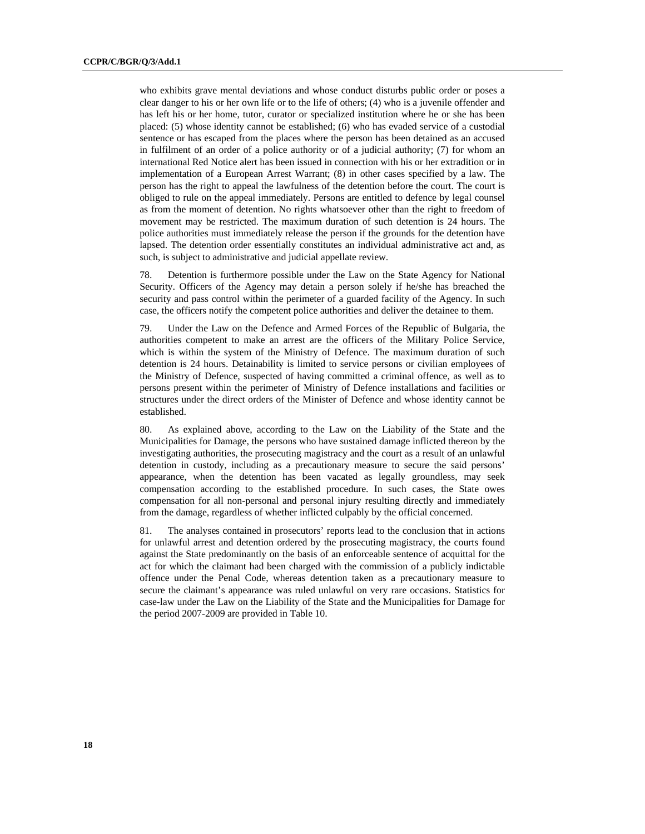who exhibits grave mental deviations and whose conduct disturbs public order or poses a clear danger to his or her own life or to the life of others; (4) who is a juvenile offender and has left his or her home, tutor, curator or specialized institution where he or she has been placed: (5) whose identity cannot be established; (6) who has evaded service of a custodial sentence or has escaped from the places where the person has been detained as an accused in fulfilment of an order of a police authority or of a judicial authority; (7) for whom an international Red Notice alert has been issued in connection with his or her extradition or in implementation of a European Arrest Warrant; (8) in other cases specified by a law. The person has the right to appeal the lawfulness of the detention before the court. The court is obliged to rule on the appeal immediately. Persons are entitled to defence by legal counsel as from the moment of detention. No rights whatsoever other than the right to freedom of movement may be restricted. The maximum duration of such detention is 24 hours. The police authorities must immediately release the person if the grounds for the detention have lapsed. The detention order essentially constitutes an individual administrative act and, as such, is subject to administrative and judicial appellate review.

78. Detention is furthermore possible under the Law on the State Agency for National Security. Officers of the Agency may detain a person solely if he/she has breached the security and pass control within the perimeter of a guarded facility of the Agency. In such case, the officers notify the competent police authorities and deliver the detainee to them.

79. Under the Law on the Defence and Armed Forces of the Republic of Bulgaria, the authorities competent to make an arrest are the officers of the Military Police Service, which is within the system of the Ministry of Defence. The maximum duration of such detention is 24 hours. Detainability is limited to service persons or civilian employees of the Ministry of Defence, suspected of having committed a criminal offence, as well as to persons present within the perimeter of Ministry of Defence installations and facilities or structures under the direct orders of the Minister of Defence and whose identity cannot be established.

80. As explained above, according to the Law on the Liability of the State and the Municipalities for Damage, the persons who have sustained damage inflicted thereon by the investigating authorities, the prosecuting magistracy and the court as a result of an unlawful detention in custody, including as a precautionary measure to secure the said persons' appearance, when the detention has been vacated as legally groundless, may seek compensation according to the established procedure. In such cases, the State owes compensation for all non-personal and personal injury resulting directly and immediately from the damage, regardless of whether inflicted culpably by the official concerned.

81. The analyses contained in prosecutors' reports lead to the conclusion that in actions for unlawful arrest and detention ordered by the prosecuting magistracy, the courts found against the State predominantly on the basis of an enforceable sentence of acquittal for the act for which the claimant had been charged with the commission of a publicly indictable offence under the Penal Code, whereas detention taken as a precautionary measure to secure the claimant's appearance was ruled unlawful on very rare occasions. Statistics for case-law under the Law on the Liability of the State and the Municipalities for Damage for the period 2007-2009 are provided in Table 10.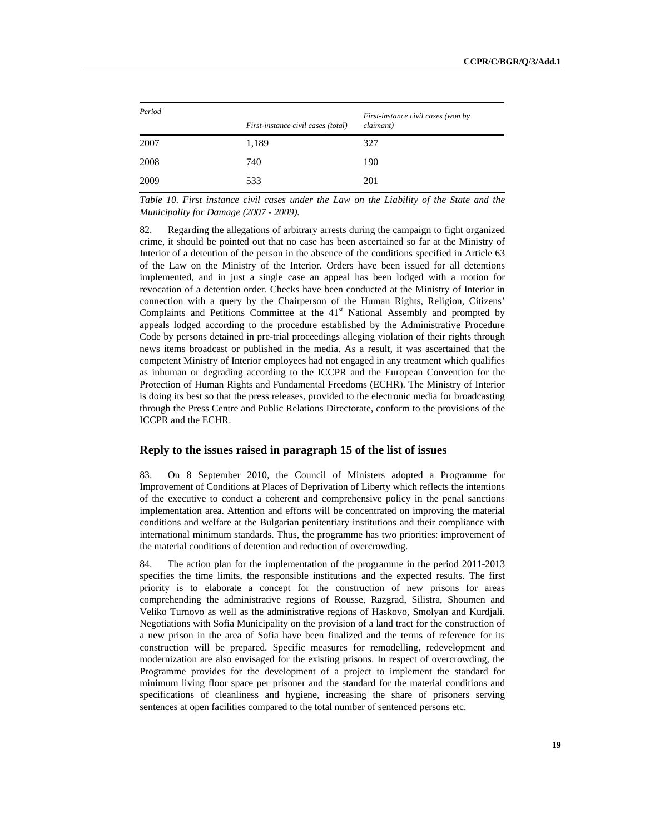| Period | First-instance civil cases (won by |           |  |  |  |
|--------|------------------------------------|-----------|--|--|--|
|        | First-instance civil cases (total) | claimant) |  |  |  |
| 2007   | 1,189                              | 327       |  |  |  |
| 2008   | 740                                | 190       |  |  |  |
| 2009   | 533                                | 201       |  |  |  |

*Table 10. First instance civil cases under the Law on the Liability of the State and the Municipality for Damage (2007 - 2009).*

82. Regarding the allegations of arbitrary arrests during the campaign to fight organized crime, it should be pointed out that no case has been ascertained so far at the Ministry of Interior of a detention of the person in the absence of the conditions specified in Article 63 of the Law on the Ministry of the Interior. Orders have been issued for all detentions implemented, and in just a single case an appeal has been lodged with a motion for revocation of a detention order. Checks have been conducted at the Ministry of Interior in connection with a query by the Chairperson of the Human Rights, Religion, Citizens' Complaints and Petitions Committee at the 41<sup>st</sup> National Assembly and prompted by appeals lodged according to the procedure established by the Administrative Procedure Code by persons detained in pre-trial proceedings alleging violation of their rights through news items broadcast or published in the media. As a result, it was ascertained that the competent Ministry of Interior employees had not engaged in any treatment which qualifies as inhuman or degrading according to the ICCPR and the European Convention for the Protection of Human Rights and Fundamental Freedoms (ECHR). The Ministry of Interior is doing its best so that the press releases, provided to the electronic media for broadcasting through the Press Centre and Public Relations Directorate, conform to the provisions of the ICCPR and the ECHR.

#### **Reply to the issues raised in paragraph 15 of the list of issues**

83. On 8 September 2010, the Council of Ministers adopted a Programme for Improvement of Conditions at Places of Deprivation of Liberty which reflects the intentions of the executive to conduct a coherent and comprehensive policy in the penal sanctions implementation area. Attention and efforts will be concentrated on improving the material conditions and welfare at the Bulgarian penitentiary institutions and their compliance with international minimum standards. Thus, the programme has two priorities: improvement of the material conditions of detention and reduction of overcrowding.

84. The action plan for the implementation of the programme in the period 2011-2013 specifies the time limits, the responsible institutions and the expected results. The first priority is to elaborate a concept for the construction of new prisons for areas comprehending the administrative regions of Rousse, Razgrad, Silistra, Shoumen and Veliko Turnovo as well as the administrative regions of Haskovo, Smolyan and Kurdjali. Negotiations with Sofia Municipality on the provision of a land tract for the construction of a new prison in the area of Sofia have been finalized and the terms of reference for its construction will be prepared. Specific measures for remodelling, redevelopment and modernization are also envisaged for the existing prisons. In respect of overcrowding, the Programme provides for the development of a project to implement the standard for minimum living floor space per prisoner and the standard for the material conditions and specifications of cleanliness and hygiene, increasing the share of prisoners serving sentences at open facilities compared to the total number of sentenced persons etc.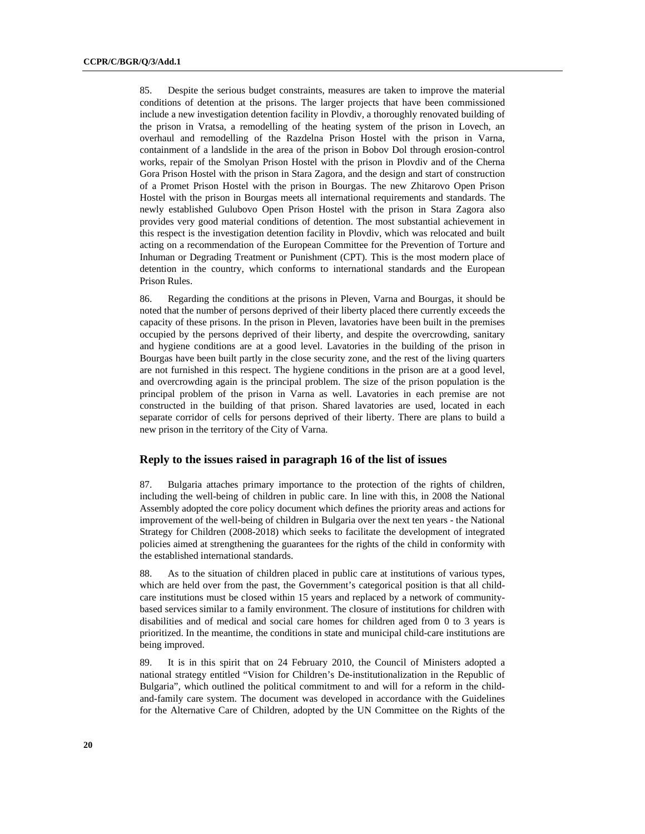85. Despite the serious budget constraints, measures are taken to improve the material conditions of detention at the prisons. The larger projects that have been commissioned include a new investigation detention facility in Plovdiv, a thoroughly renovated building of the prison in Vratsa, a remodelling of the heating system of the prison in Lovech, an overhaul and remodelling of the Razdelna Prison Hostel with the prison in Varna, containment of a landslide in the area of the prison in Bobov Dol through erosion-control works, repair of the Smolyan Prison Hostel with the prison in Plovdiv and of the Cherna Gora Prison Hostel with the prison in Stara Zagora, and the design and start of construction of a Promet Prison Hostel with the prison in Bourgas. The new Zhitarovo Open Prison Hostel with the prison in Bourgas meets all international requirements and standards. The newly established Gulubovo Open Prison Hostel with the prison in Stara Zagora also provides very good material conditions of detention. The most substantial achievement in this respect is the investigation detention facility in Plovdiv, which was relocated and built acting on a recommendation of the European Committee for the Prevention of Torture and Inhuman or Degrading Treatment or Punishment (CPT). This is the most modern place of detention in the country, which conforms to international standards and the European Prison Rules.

86. Regarding the conditions at the prisons in Pleven, Varna and Bourgas, it should be noted that the number of persons deprived of their liberty placed there currently exceeds the capacity of these prisons. In the prison in Pleven, lavatories have been built in the premises occupied by the persons deprived of their liberty, and despite the overcrowding, sanitary and hygiene conditions are at a good level. Lavatories in the building of the prison in Bourgas have been built partly in the close security zone, and the rest of the living quarters are not furnished in this respect. The hygiene conditions in the prison are at a good level, and overcrowding again is the principal problem. The size of the prison population is the principal problem of the prison in Varna as well. Lavatories in each premise are not constructed in the building of that prison. Shared lavatories are used, located in each separate corridor of cells for persons deprived of their liberty. There are plans to build a new prison in the territory of the City of Varna.

# **Reply to the issues raised in paragraph 16 of the list of issues**

87. Bulgaria attaches primary importance to the protection of the rights of children, including the well-being of children in public care. In line with this, in 2008 the National Assembly adopted the core policy document which defines the priority areas and actions for improvement of the well-being of children in Bulgaria over the next ten years - the National Strategy for Children (2008-2018) which seeks to facilitate the development of integrated policies aimed at strengthening the guarantees for the rights of the child in conformity with the established international standards.

88. As to the situation of children placed in public care at institutions of various types, which are held over from the past, the Government's categorical position is that all childcare institutions must be closed within 15 years and replaced by a network of communitybased services similar to a family environment. The closure of institutions for children with disabilities and of medical and social care homes for children aged from 0 to 3 years is prioritized. In the meantime, the conditions in state and municipal child-care institutions are being improved.

89. It is in this spirit that on 24 February 2010, the Council of Ministers adopted a national strategy entitled "Vision for Children's De-institutionalization in the Republic of Bulgaria"*,* which outlined the political commitment to and will for a reform in the childand-family care system. The document was developed in accordance with the Guidelines for the Alternative Care of Children, adopted by the UN Committee on the Rights of the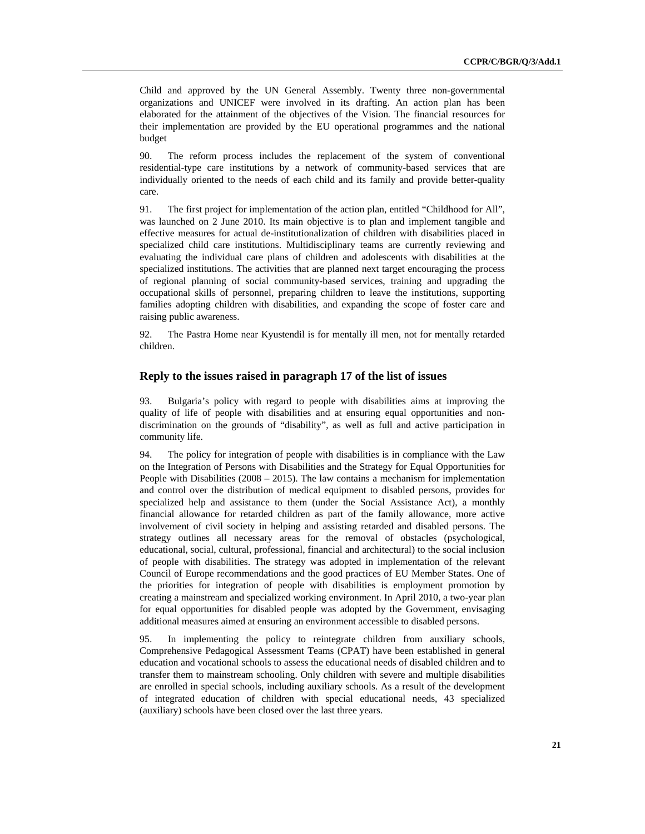Child and approved by the UN General Assembly. Twenty three non-governmental organizations and UNICEF were involved in its drafting. An action plan has been elaborated for the attainment of the objectives of the Vision*.* The financial resources for their implementation are provided by the EU operational programmes and the national budget

90. The reform process includes the replacement of the system of conventional residential-type care institutions by a network of community-based services that are individually oriented to the needs of each child and its family and provide better-quality care.

91. The first project for implementation of the action plan, entitled "Childhood for All", was launched on 2 June 2010. Its main objective is to plan and implement tangible and effective measures for actual de-institutionalization of children with disabilities placed in specialized child care institutions. Multidisciplinary teams are currently reviewing and evaluating the individual care plans of children and adolescents with disabilities at the specialized institutions. The activities that are planned next target encouraging the process of regional planning of social community-based services, training and upgrading the occupational skills of personnel, preparing children to leave the institutions, supporting families adopting children with disabilities, and expanding the scope of foster care and raising public awareness.

92. The Pastra Home near Kyustendil is for mentally ill men, not for mentally retarded children.

# **Reply to the issues raised in paragraph 17 of the list of issues**

93. Bulgaria's policy with regard to people with disabilities aims at improving the quality of life of people with disabilities and at ensuring equal opportunities and nondiscrimination on the grounds of "disability", as well as full and active participation in community life.

94. The policy for integration of people with disabilities is in compliance with the Law on the Integration of Persons with Disabilities and the Strategy for Equal Opportunities for People with Disabilities  $(2008 - 2015)$ . The law contains a mechanism for implementation and control over the distribution of medical equipment to disabled persons, provides for specialized help and assistance to them (under the Social Assistance Act), a monthly financial allowance for retarded children as part of the family allowance, more active involvement of civil society in helping and assisting retarded and disabled persons. The strategy outlines all necessary areas for the removal of obstacles (psychological, educational, social, cultural, professional, financial and architectural) to the social inclusion of people with disabilities. The strategy was adopted in implementation of the relevant Council of Europe recommendations and the good practices of EU Member States. One of the priorities for integration of people with disabilities is employment promotion by creating a mainstream and specialized working environment. In April 2010, a two-year plan for equal opportunities for disabled people was adopted by the Government, envisaging additional measures aimed at ensuring an environment accessible to disabled persons.

95. In implementing the policy to reintegrate children from auxiliary schools, Comprehensive Pedagogical Assessment Teams (CPAT) have been established in general education and vocational schools to assess the educational needs of disabled children and to transfer them to mainstream schooling. Only children with severe and multiple disabilities are enrolled in special schools, including auxiliary schools. As a result of the development of integrated education of children with special educational needs, 43 specialized (auxiliary) schools have been closed over the last three years.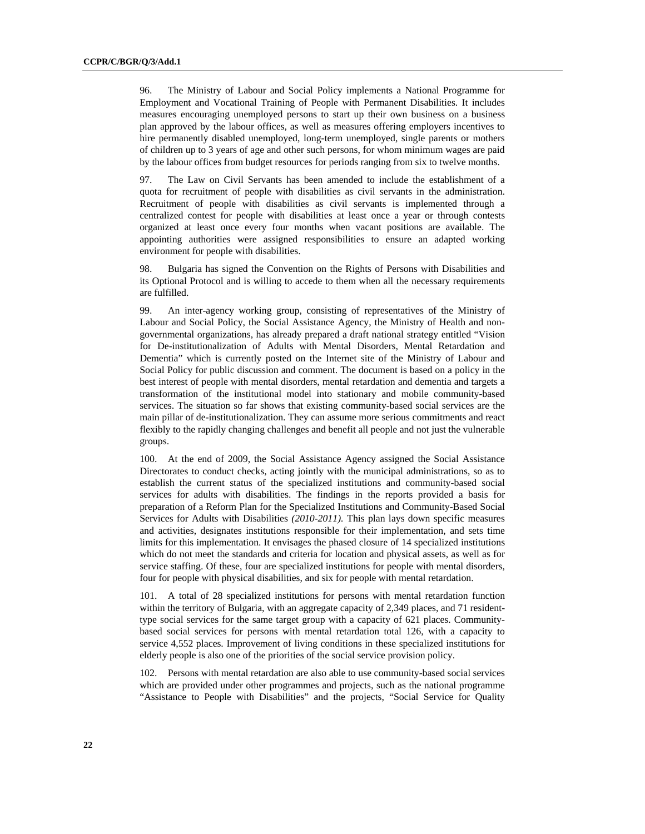96. The Ministry of Labour and Social Policy implements a National Programme for Employment and Vocational Training of People with Permanent Disabilities. It includes measures encouraging unemployed persons to start up their own business on a business plan approved by the labour offices, as well as measures offering employers incentives to hire permanently disabled unemployed, long-term unemployed, single parents or mothers of children up to 3 years of age and other such persons, for whom minimum wages are paid by the labour offices from budget resources for periods ranging from six to twelve months.

97. The Law on Civil Servants has been amended to include the establishment of a quota for recruitment of people with disabilities as civil servants in the administration. Recruitment of people with disabilities as civil servants is implemented through a centralized contest for people with disabilities at least once a year or through contests organized at least once every four months when vacant positions are available. The appointing authorities were assigned responsibilities to ensure an adapted working environment for people with disabilities.

98. Bulgaria has signed the Convention on the Rights of Persons with Disabilities and its Optional Protocol and is willing to accede to them when all the necessary requirements are fulfilled.

99. An inter-agency working group, consisting of representatives of the Ministry of Labour and Social Policy, the Social Assistance Agency, the Ministry of Health and nongovernmental organizations, has already prepared a draft national strategy entitled "Vision for De-institutionalization of Adults with Mental Disorders, Mental Retardation and Dementia" which is currently posted on the Internet site of the Ministry of Labour and Social Policy for public discussion and comment. The document is based on a policy in the best interest of people with mental disorders, mental retardation and dementia and targets a transformation of the institutional model into stationary and mobile community-based services. The situation so far shows that existing community-based social services are the main pillar of de-institutionalization. They can assume more serious commitments and react flexibly to the rapidly changing challenges and benefit all people and not just the vulnerable groups.

100. At the end of 2009, the Social Assistance Agency assigned the Social Assistance Directorates to conduct checks, acting jointly with the municipal administrations, so as to establish the current status of the specialized institutions and community-based social services for adults with disabilities. The findings in the reports provided a basis for preparation of a Reform Plan for the Specialized Institutions and Community-Based Social Services for Adults with Disabilities *(2010-2011).* This plan lays down specific measures and activities, designates institutions responsible for their implementation, and sets time limits for this implementation. It envisages the phased closure of 14 specialized institutions which do not meet the standards and criteria for location and physical assets, as well as for service staffing. Of these, four are specialized institutions for people with mental disorders, four for people with physical disabilities, and six for people with mental retardation.

101. A total of 28 specialized institutions for persons with mental retardation function within the territory of Bulgaria, with an aggregate capacity of 2,349 places, and 71 residenttype social services for the same target group with a capacity of 621 places. Communitybased social services for persons with mental retardation total 126, with a capacity to service 4,552 places. Improvement of living conditions in these specialized institutions for elderly people is also one of the priorities of the social service provision policy.

102. Persons with mental retardation are also able to use community-based social services which are provided under other programmes and projects, such as the national programme "Assistance to People with Disabilities" and the projects, "Social Service for Quality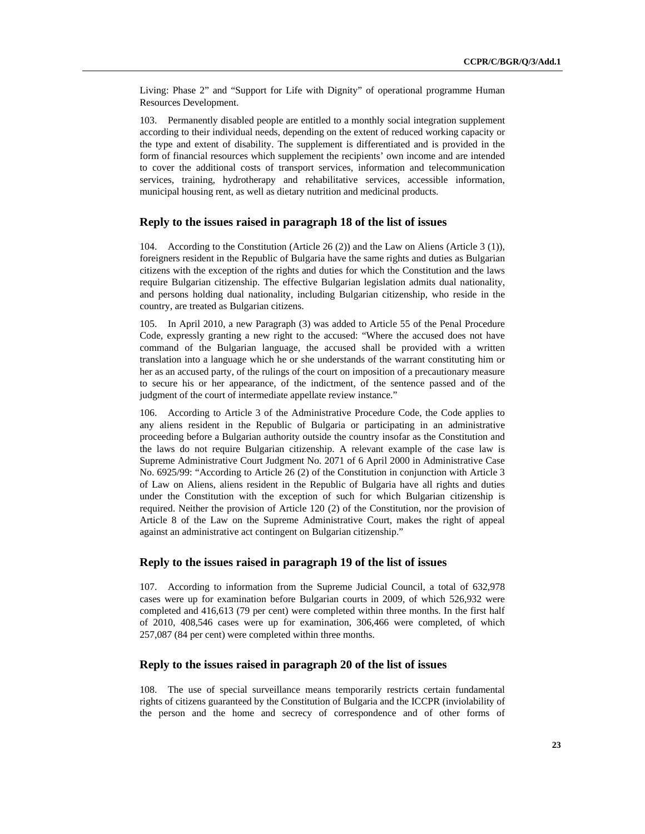Living: Phase 2" and "Support for Life with Dignity" of operational programme Human Resources Development.

103. Permanently disabled people are entitled to a monthly social integration supplement according to their individual needs, depending on the extent of reduced working capacity or the type and extent of disability. The supplement is differentiated and is provided in the form of financial resources which supplement the recipients' own income and are intended to cover the additional costs of transport services, information and telecommunication services, training, hydrotherapy and rehabilitative services, accessible information, municipal housing rent, as well as dietary nutrition and medicinal products.

#### **Reply to the issues raised in paragraph 18 of the list of issues**

104. According to the Constitution (Article 26 (2)) and the Law on Aliens (Article 3 (1)), foreigners resident in the Republic of Bulgaria have the same rights and duties as Bulgarian citizens with the exception of the rights and duties for which the Constitution and the laws require Bulgarian citizenship. The effective Bulgarian legislation admits dual nationality, and persons holding dual nationality, including Bulgarian citizenship, who reside in the country, are treated as Bulgarian citizens.

105. In April 2010, a new Paragraph (3) was added to Article 55 of the Penal Procedure Code, expressly granting a new right to the accused: "Where the accused does not have command of the Bulgarian language, the accused shall be provided with a written translation into a language which he or she understands of the warrant constituting him or her as an accused party, of the rulings of the court on imposition of a precautionary measure to secure his or her appearance, of the indictment, of the sentence passed and of the judgment of the court of intermediate appellate review instance."

106. According to Article 3 of the Administrative Procedure Code, the Code applies to any aliens resident in the Republic of Bulgaria or participating in an administrative proceeding before a Bulgarian authority outside the country insofar as the Constitution and the laws do not require Bulgarian citizenship. A relevant example of the case law is Supreme Administrative Court Judgment No. 2071 of 6 April 2000 in Administrative Case No. 6925/99: "According to Article 26 (2) of the Constitution in conjunction with Article 3 of Law on Aliens, aliens resident in the Republic of Bulgaria have all rights and duties under the Constitution with the exception of such for which Bulgarian citizenship is required. Neither the provision of Article 120 (2) of the Constitution, nor the provision of Article 8 of the Law on the Supreme Administrative Court, makes the right of appeal against an administrative act contingent on Bulgarian citizenship."

#### **Reply to the issues raised in paragraph 19 of the list of issues**

107. According to information from the Supreme Judicial Council, a total of 632,978 cases were up for examination before Bulgarian courts in 2009, of which 526,932 were completed and 416,613 (79 per cent) were completed within three months. In the first half of 2010, 408,546 cases were up for examination, 306,466 were completed, of which 257,087 (84 per cent) were completed within three months.

#### **Reply to the issues raised in paragraph 20 of the list of issues**

108. The use of special surveillance means temporarily restricts certain fundamental rights of citizens guaranteed by the Constitution of Bulgaria and the ICCPR (inviolability of the person and the home and secrecy of correspondence and of other forms of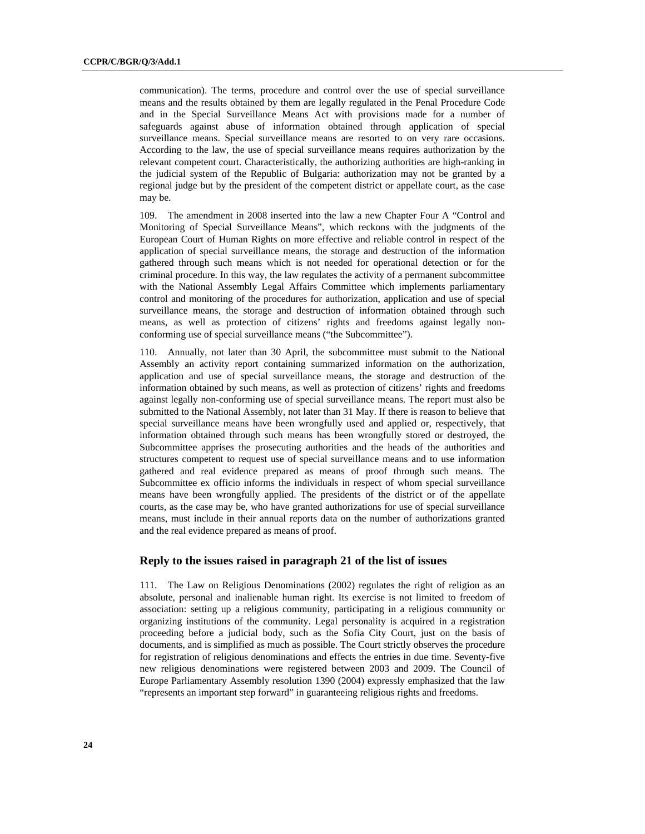communication). The terms, procedure and control over the use of special surveillance means and the results obtained by them are legally regulated in the Penal Procedure Code and in the Special Surveillance Means Act with provisions made for a number of safeguards against abuse of information obtained through application of special surveillance means. Special surveillance means are resorted to on very rare occasions. According to the law, the use of special surveillance means requires authorization by the relevant competent court. Characteristically, the authorizing authorities are high-ranking in the judicial system of the Republic of Bulgaria: authorization may not be granted by a regional judge but by the president of the competent district or appellate court, as the case may be.

109. The amendment in 2008 inserted into the law a new Chapter Four A "Control and Monitoring of Special Surveillance Means", which reckons with the judgments of the European Court of Human Rights on more effective and reliable control in respect of the application of special surveillance means, the storage and destruction of the information gathered through such means which is not needed for operational detection or for the criminal procedure. In this way, the law regulates the activity of a permanent subcommittee with the National Assembly Legal Affairs Committee which implements parliamentary control and monitoring of the procedures for authorization, application and use of special surveillance means, the storage and destruction of information obtained through such means, as well as protection of citizens' rights and freedoms against legally nonconforming use of special surveillance means ("the Subcommittee").

110. Annually, not later than 30 April, the subcommittee must submit to the National Assembly an activity report containing summarized information on the authorization, application and use of special surveillance means, the storage and destruction of the information obtained by such means, as well as protection of citizens' rights and freedoms against legally non-conforming use of special surveillance means. The report must also be submitted to the National Assembly, not later than 31 May. If there is reason to believe that special surveillance means have been wrongfully used and applied or, respectively, that information obtained through such means has been wrongfully stored or destroyed, the Subcommittee apprises the prosecuting authorities and the heads of the authorities and structures competent to request use of special surveillance means and to use information gathered and real evidence prepared as means of proof through such means. The Subcommittee ex officio informs the individuals in respect of whom special surveillance means have been wrongfully applied. The presidents of the district or of the appellate courts, as the case may be, who have granted authorizations for use of special surveillance means, must include in their annual reports data on the number of authorizations granted and the real evidence prepared as means of proof.

#### **Reply to the issues raised in paragraph 21 of the list of issues**

111. The Law on Religious Denominations (2002) regulates the right of religion as an absolute, personal and inalienable human right. Its exercise is not limited to freedom of association: setting up a religious community, participating in a religious community or organizing institutions of the community. Legal personality is acquired in a registration proceeding before a judicial body, such as the Sofia City Court, just on the basis of documents, and is simplified as much as possible. The Court strictly observes the procedure for registration of religious denominations and effects the entries in due time. Seventy-five new religious denominations were registered between 2003 and 2009. The Council of Europe Parliamentary Assembly resolution 1390 (2004) expressly emphasized that the law "represents an important step forward" in guaranteeing religious rights and freedoms.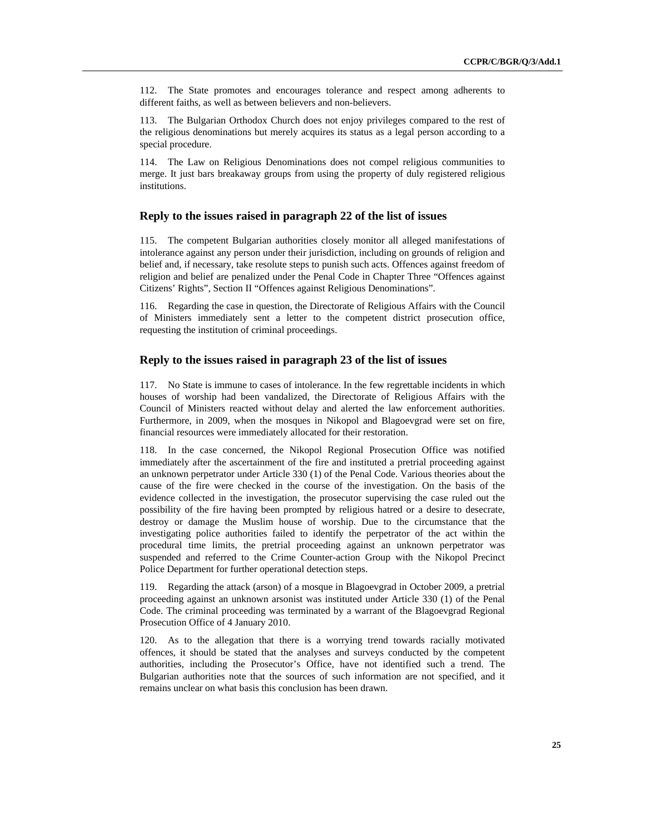112. The State promotes and encourages tolerance and respect among adherents to different faiths, as well as between believers and non-believers.

113. The Bulgarian Orthodox Church does not enjoy privileges compared to the rest of the religious denominations but merely acquires its status as a legal person according to a special procedure.

114. The Law on Religious Denominations does not compel religious communities to merge. It just bars breakaway groups from using the property of duly registered religious institutions.

# **Reply to the issues raised in paragraph 22 of the list of issues**

115. The competent Bulgarian authorities closely monitor all alleged manifestations of intolerance against any person under their jurisdiction, including on grounds of religion and belief and, if necessary, take resolute steps to punish such acts. Offences against freedom of religion and belief are penalized under the Penal Code in Chapter Three "Offences against Citizens' Rights", Section II "Offences against Religious Denominations".

116. Regarding the case in question, the Directorate of Religious Affairs with the Council of Ministers immediately sent a letter to the competent district prosecution office, requesting the institution of criminal proceedings.

#### **Reply to the issues raised in paragraph 23 of the list of issues**

117. No State is immune to cases of intolerance. In the few regrettable incidents in which houses of worship had been vandalized, the Directorate of Religious Affairs with the Council of Ministers reacted without delay and alerted the law enforcement authorities. Furthermore, in 2009, when the mosques in Nikopol and Blagoevgrad were set on fire, financial resources were immediately allocated for their restoration.

118. In the case concerned, the Nikopol Regional Prosecution Office was notified immediately after the ascertainment of the fire and instituted a pretrial proceeding against an unknown perpetrator under Article 330 (1) of the Penal Code. Various theories about the cause of the fire were checked in the course of the investigation. On the basis of the evidence collected in the investigation, the prosecutor supervising the case ruled out the possibility of the fire having been prompted by religious hatred or a desire to desecrate, destroy or damage the Muslim house of worship. Due to the circumstance that the investigating police authorities failed to identify the perpetrator of the act within the procedural time limits, the pretrial proceeding against an unknown perpetrator was suspended and referred to the Crime Counter-action Group with the Nikopol Precinct Police Department for further operational detection steps.

119. Regarding the attack (arson) of a mosque in Blagoevgrad in October 2009, a pretrial proceeding against an unknown arsonist was instituted under Article 330 (1) of the Penal Code. The criminal proceeding was terminated by a warrant of the Blagoevgrad Regional Prosecution Office of 4 January 2010.

120. As to the allegation that there is a worrying trend towards racially motivated offences, it should be stated that the analyses and surveys conducted by the competent authorities, including the Prosecutor's Office, have not identified such a trend. The Bulgarian authorities note that the sources of such information are not specified, and it remains unclear on what basis this conclusion has been drawn.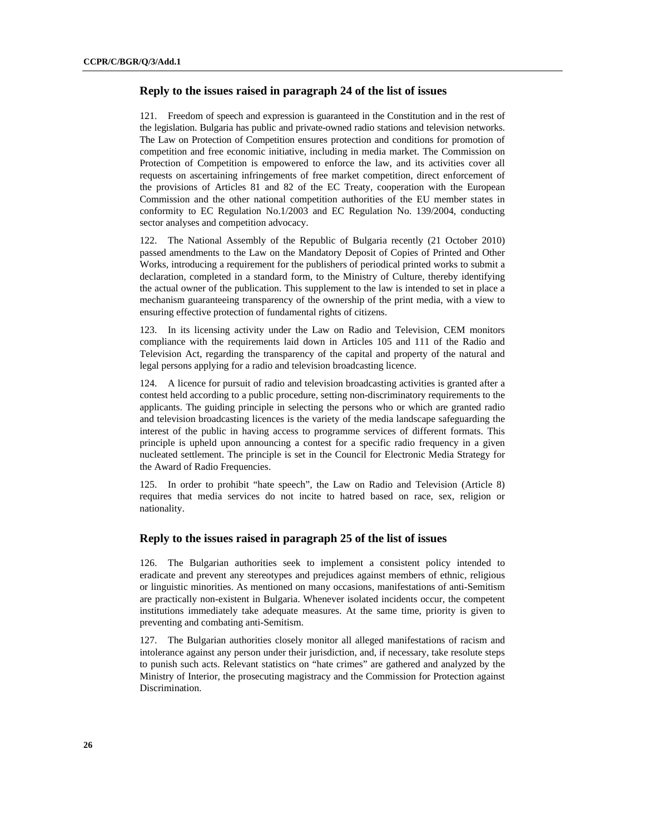#### **Reply to the issues raised in paragraph 24 of the list of issues**

121. Freedom of speech and expression is guaranteed in the Constitution and in the rest of the legislation. Bulgaria has public and private-owned radio stations and television networks. The Law on Protection of Competition ensures protection and conditions for promotion of competition and free economic initiative, including in media market. The Commission on Protection of Competition is empowered to enforce the law, and its activities cover all requests on ascertaining infringements of free market competition, direct enforcement of the provisions of Articles 81 and 82 of the EC Treaty, cooperation with the European Commission and the other national competition authorities of the EU member states in conformity to EC Regulation No.1/2003 and EC Regulation No. 139/2004, conducting sector analyses and competition advocacy.

122. The National Assembly of the Republic of Bulgaria recently (21 October 2010) passed amendments to the Law on the Mandatory Deposit of Copies of Printed and Other Works*,* introducing a requirement for the publishers of periodical printed works to submit a declaration, completed in a standard form, to the Ministry of Culture, thereby identifying the actual owner of the publication. This supplement to the law is intended to set in place a mechanism guaranteeing transparency of the ownership of the print media, with a view to ensuring effective protection of fundamental rights of citizens.

123. In its licensing activity under the Law on Radio and Television, CEM monitors compliance with the requirements laid down in Articles 105 and 111 of the Radio and Television Act, regarding the transparency of the capital and property of the natural and legal persons applying for a radio and television broadcasting licence.

124. A licence for pursuit of radio and television broadcasting activities is granted after a contest held according to a public procedure, setting non-discriminatory requirements to the applicants. The guiding principle in selecting the persons who or which are granted radio and television broadcasting licences is the variety of the media landscape safeguarding the interest of the public in having access to programme services of different formats. This principle is upheld upon announcing a contest for a specific radio frequency in a given nucleated settlement. The principle is set in the Council for Electronic Media Strategy for the Award of Radio Frequencies.

125. In order to prohibit "hate speech", the Law on Radio and Television (Article 8) requires that media services do not incite to hatred based on race, sex, religion or nationality.

#### **Reply to the issues raised in paragraph 25 of the list of issues**

126. The Bulgarian authorities seek to implement a consistent policy intended to eradicate and prevent any stereotypes and prejudices against members of ethnic, religious or linguistic minorities. As mentioned on many occasions, manifestations of anti-Semitism are practically non-existent in Bulgaria. Whenever isolated incidents occur, the competent institutions immediately take adequate measures. At the same time, priority is given to preventing and combating anti-Semitism.

127. The Bulgarian authorities closely monitor all alleged manifestations of racism and intolerance against any person under their jurisdiction, and, if necessary, take resolute steps to punish such acts. Relevant statistics on "hate crimes" are gathered and analyzed by the Ministry of Interior, the prosecuting magistracy and the Commission for Protection against **Discrimination**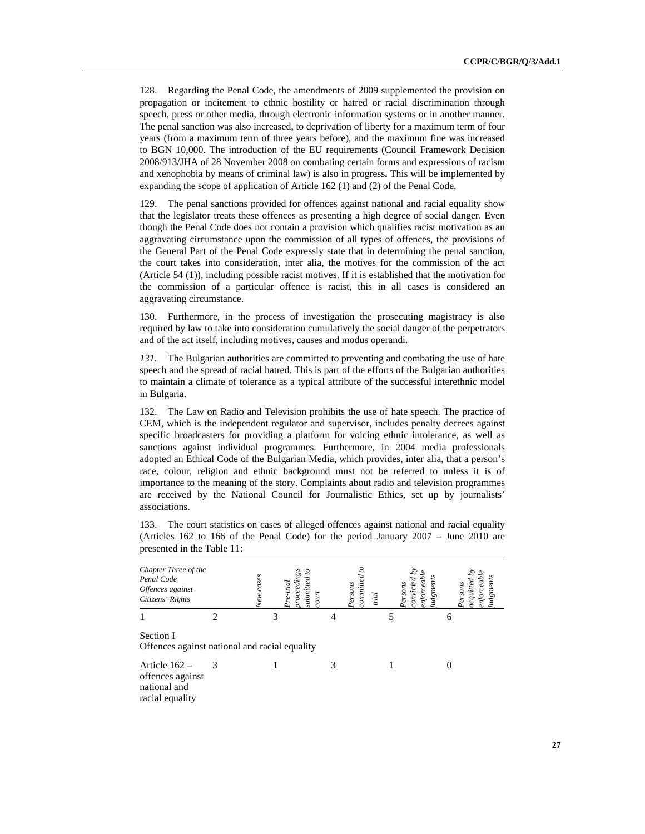128. Regarding the Penal Code, the amendments of 2009 supplemented the provision on propagation or incitement to ethnic hostility or hatred or racial discrimination through speech, press or other media, through electronic information systems or in another manner. The penal sanction was also increased, to deprivation of liberty for a maximum term of four years (from a maximum term of three years before), and the maximum fine was increased to BGN 10,000. The introduction of the EU requirements (Council Framework Decision 2008/913/JHA of 28 November 2008 on combating certain forms and expressions of racism and xenophobia by means of criminal law) is also in progress**.** This will be implemented by expanding the scope of application of Article 162 (1) and (2) of the Penal Code.

129. The penal sanctions provided for offences against national and racial equality show that the legislator treats these offences as presenting a high degree of social danger. Even though the Penal Code does not contain a provision which qualifies racist motivation as an aggravating circumstance upon the commission of all types of offences, the provisions of the General Part of the Penal Code expressly state that in determining the penal sanction, the court takes into consideration, inter alia, the motives for the commission of the act (Article 54 (1)), including possible racist motives. If it is established that the motivation for the commission of a particular offence is racist, this in all cases is considered an aggravating circumstance.

130. Furthermore, in the process of investigation the prosecuting magistracy is also required by law to take into consideration cumulatively the social danger of the perpetrators and of the act itself, including motives, causes and modus operandi*.*

131. The Bulgarian authorities are committed to preventing and combating the use of hate speech and the spread of racial hatred. This is part of the efforts of the Bulgarian authorities to maintain a climate of tolerance as a typical attribute of the successful interethnic model in Bulgaria.

132. The Law on Radio and Television prohibits the use of hate speech. The practice of CEM, which is the independent regulator and supervisor, includes penalty decrees against specific broadcasters for providing a platform for voicing ethnic intolerance, as well as sanctions against individual programmes. Furthermore, in 2004 media professionals adopted an Ethical Code of the Bulgarian Media, which provides, inter alia, that a person's race, colour, religion and ethnic background must not be referred to unless it is of importance to the meaning of the story. Complaints about radio and television programmes are received by the National Council for Journalistic Ethics, set up by journalists' associations.

133. The court statistics on cases of alleged offences against national and racial equality (Articles 162 to 166 of the Penal Code) for the period January 2007 – June 2010 are presented in the Table 11:

| Chapter Three of the<br>Penal Code<br>Offences against<br>Citizens' Rights | cases<br>Vew | э<br>ಜ<br>ubmitted<br>oceeaw<br>$\vec{p}$<br>$\frac{1}{2}$ | onnitted<br>Persons<br>trial | gments<br><b>grsons</b> | <b>SUOSS</b><br>$\emph{gne}$ |
|----------------------------------------------------------------------------|--------------|------------------------------------------------------------|------------------------------|-------------------------|------------------------------|
|                                                                            | 2            | 3                                                          |                              |                         | 6                            |
| Section I<br>Offences against national and racial equality                 |              |                                                            |                              |                         |                              |
| Article $162 -$<br>offences against<br>national and<br>racial equality     | 3            |                                                            | 3                            |                         |                              |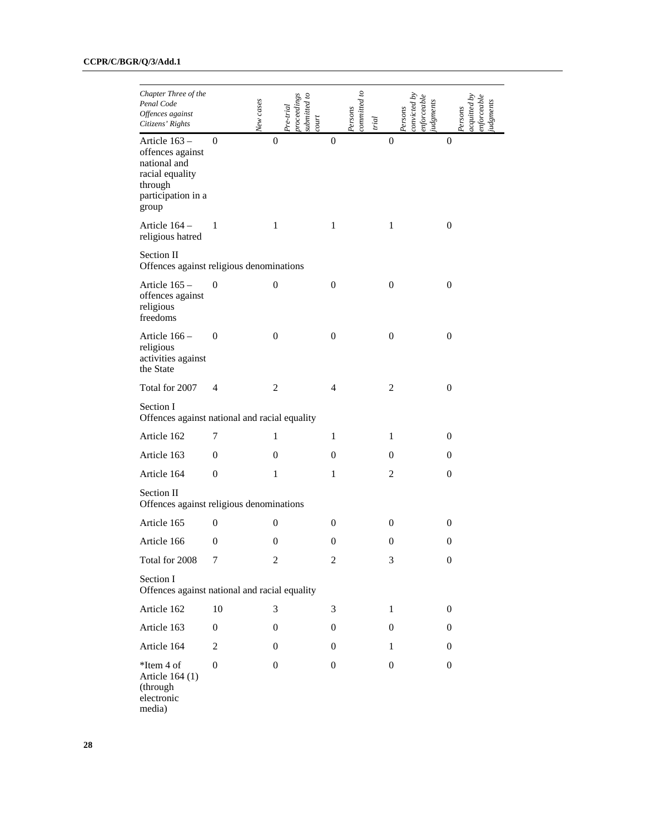| Chapter Three of the<br>Penal Code<br>Offences against<br>Citizens' Rights                                     | New cases        |                  | submitted to<br>$proceeding$ s<br>$Pre-trial$<br>$_{contr}$ |                  | committed to<br>Persons<br>trial |                  | $\emph{convited }$ by<br>$e$ nforceable<br>udgments<br>Persons |                  | orceabl<br>cquitted<br>gments<br>Persons |
|----------------------------------------------------------------------------------------------------------------|------------------|------------------|-------------------------------------------------------------|------------------|----------------------------------|------------------|----------------------------------------------------------------|------------------|------------------------------------------|
| Article 163 -<br>offences against<br>national and<br>racial equality<br>through<br>participation in a<br>group | $\boldsymbol{0}$ | $\boldsymbol{0}$ |                                                             | $\boldsymbol{0}$ |                                  | $\overline{0}$   |                                                                | $\overline{0}$   |                                          |
| Article 164 -<br>religious hatred                                                                              | $\mathbf{1}$     | $\mathbf{1}$     |                                                             | $\mathbf{1}$     |                                  | $\mathbf{1}$     |                                                                | $\boldsymbol{0}$ |                                          |
| Section II<br>Offences against religious denominations                                                         |                  |                  |                                                             |                  |                                  |                  |                                                                |                  |                                          |
| Article 165 -<br>offences against<br>religious<br>freedoms                                                     | $\boldsymbol{0}$ | $\boldsymbol{0}$ |                                                             | $\mathbf{0}$     |                                  | $\boldsymbol{0}$ |                                                                | $\boldsymbol{0}$ |                                          |
| Article 166 -<br>religious<br>activities against<br>the State                                                  | $\boldsymbol{0}$ | $\boldsymbol{0}$ |                                                             | $\boldsymbol{0}$ |                                  | $\boldsymbol{0}$ |                                                                | $\boldsymbol{0}$ |                                          |
| Total for 2007                                                                                                 | 4                | $\overline{2}$   |                                                             | 4                |                                  | $\overline{2}$   |                                                                | $\boldsymbol{0}$ |                                          |
| Section I<br>Offences against national and racial equality                                                     |                  |                  |                                                             |                  |                                  |                  |                                                                |                  |                                          |
| Article 162                                                                                                    | 7                | 1                |                                                             | 1                |                                  | 1                |                                                                | $\boldsymbol{0}$ |                                          |
| Article 163                                                                                                    | $\boldsymbol{0}$ | 0                |                                                             | $\boldsymbol{0}$ |                                  | $\boldsymbol{0}$ |                                                                | $\boldsymbol{0}$ |                                          |
| Article 164                                                                                                    | $\boldsymbol{0}$ | 1                |                                                             | 1                |                                  | $\overline{2}$   |                                                                | $\boldsymbol{0}$ |                                          |
| Section II<br>Offences against religious denominations                                                         |                  |                  |                                                             |                  |                                  |                  |                                                                |                  |                                          |
| Article 165                                                                                                    | $\boldsymbol{0}$ | $\boldsymbol{0}$ |                                                             | $\boldsymbol{0}$ |                                  | $\mathbf{0}$     |                                                                | $\boldsymbol{0}$ |                                          |
| Article 166                                                                                                    | $\boldsymbol{0}$ | $\boldsymbol{0}$ |                                                             | $\boldsymbol{0}$ |                                  | $\boldsymbol{0}$ |                                                                | $\boldsymbol{0}$ |                                          |
| Total for 2008                                                                                                 | 7                | 2                |                                                             | 2                |                                  | 3                |                                                                | $\boldsymbol{0}$ |                                          |
| Section I<br>Offences against national and racial equality                                                     |                  |                  |                                                             |                  |                                  |                  |                                                                |                  |                                          |
| Article 162                                                                                                    | 10               | 3                |                                                             | 3                |                                  | $\mathbf{1}$     |                                                                | $\mathbf{0}$     |                                          |
| Article 163                                                                                                    | $\boldsymbol{0}$ | $\boldsymbol{0}$ |                                                             | $\mathbf{0}$     |                                  | $\mathbf{0}$     |                                                                | $\mathbf{0}$     |                                          |
| Article 164                                                                                                    | $\boldsymbol{2}$ | $\mathbf{0}$     |                                                             | $\mathbf{0}$     |                                  | $\mathbf{1}$     |                                                                | $\mathbf{0}$     |                                          |
| *Item 4 of<br>Article 164 (1)<br>(through<br>electronic<br>media)                                              | $\boldsymbol{0}$ | $\mathbf{0}$     |                                                             | $\mathbf{0}$     |                                  | $\boldsymbol{0}$ |                                                                | $\mathbf{0}$     |                                          |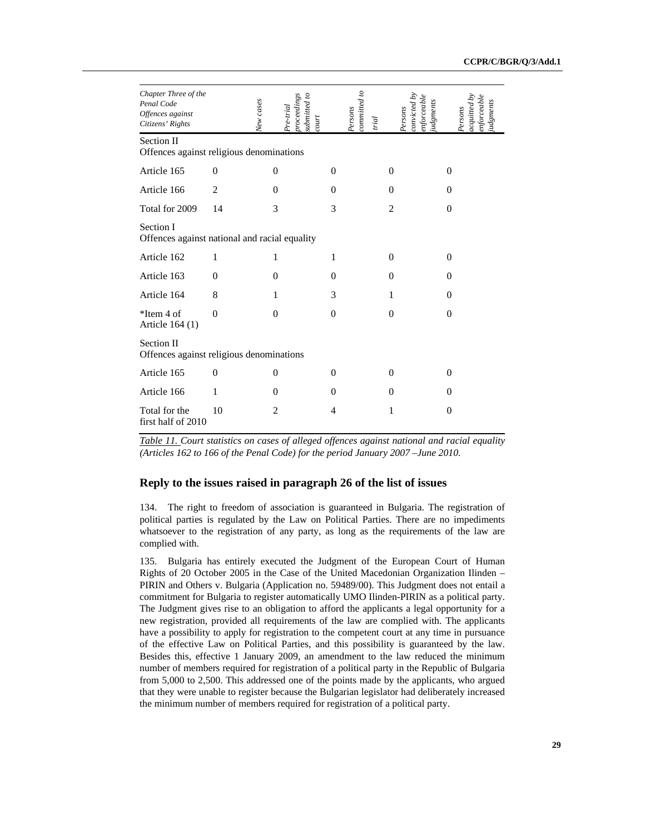| Chapter Three of the<br>Penal Code<br>Offences against<br>Citizens' Rights | New cases      | $procedure \, \mathit{dings}$<br>submitted to<br>$Pre-trial$<br>count |          | committed to<br>Persons<br>trial | nforceabl<br>udgments<br>conviced<br>Persons | enforceable<br>iudgments<br>acquited<br>Persons |
|----------------------------------------------------------------------------|----------------|-----------------------------------------------------------------------|----------|----------------------------------|----------------------------------------------|-------------------------------------------------|
| Section II<br>Offences against religious denominations                     |                |                                                                       |          |                                  |                                              |                                                 |
| Article 165                                                                | $\mathbf{0}$   | 0                                                                     | $\Omega$ |                                  | $\Omega$                                     | $\Omega$                                        |
| Article 166                                                                | $\overline{2}$ | $\theta$                                                              | $\Omega$ |                                  | $\Omega$                                     | $\Omega$                                        |
| Total for 2009                                                             | 14             | 3                                                                     | 3        |                                  | $\overline{2}$                               | $\Omega$                                        |
| Section I<br>Offences against national and racial equality                 |                |                                                                       |          |                                  |                                              |                                                 |
| Article 162                                                                | 1              | 1                                                                     | 1        |                                  | $\Omega$                                     | $\Omega$                                        |
| Article 163                                                                | $\Omega$       | $\theta$                                                              | $\Omega$ |                                  | $\Omega$                                     | $\Omega$                                        |
| Article 164                                                                | 8              | 1                                                                     | 3        |                                  | 1                                            | $\Omega$                                        |
| $*$ Item 4 of<br>Article 164 (1)                                           | $\theta$       | $\theta$                                                              | $\theta$ |                                  | $\Omega$                                     | $\Omega$                                        |
| Section II<br>Offences against religious denominations                     |                |                                                                       |          |                                  |                                              |                                                 |
| Article 165                                                                | $\Omega$       | $\Omega$                                                              | $\Omega$ |                                  | $\Omega$                                     | $\Omega$                                        |
| Article 166                                                                | 1              | $\theta$                                                              | $\Omega$ |                                  | $\Omega$                                     | $\Omega$                                        |
| Total for the<br>first half of 2010                                        | 10             | $\overline{2}$                                                        | 4        |                                  | 1                                            | $\mathbf{0}$                                    |

*Table 11. Court statistics on cases of alleged offences against national and racial equality (Articles 162 to 166 of the Penal Code) for the period January 2007 –June 2010.* 

# **Reply to the issues raised in paragraph 26 of the list of issues**

134. The right to freedom of association is guaranteed in Bulgaria. The registration of political parties is regulated by the Law on Political Parties. There are no impediments whatsoever to the registration of any party, as long as the requirements of the law are complied with.

135. Bulgaria has entirely executed the Judgment of the European Court of Human Rights of 20 October 2005 in the Case of the United Macedonian Organization Ilinden – PIRIN and Others v. Bulgaria (Application no. 59489/00). This Judgment does not entail a commitment for Bulgaria to register automatically UMO Ilinden-PIRIN as a political party. The Judgment gives rise to an obligation to afford the applicants a legal opportunity for a new registration, provided all requirements of the law are complied with. The applicants have a possibility to apply for registration to the competent court at any time in pursuance of the effective Law on Political Parties, and this possibility is guaranteed by the law. Besides this, effective 1 January 2009, an amendment to the law reduced the minimum number of members required for registration of a political party in the Republic of Bulgaria from 5,000 to 2,500. This addressed one of the points made by the applicants, who argued that they were unable to register because the Bulgarian legislator had deliberately increased the minimum number of members required for registration of a political party.